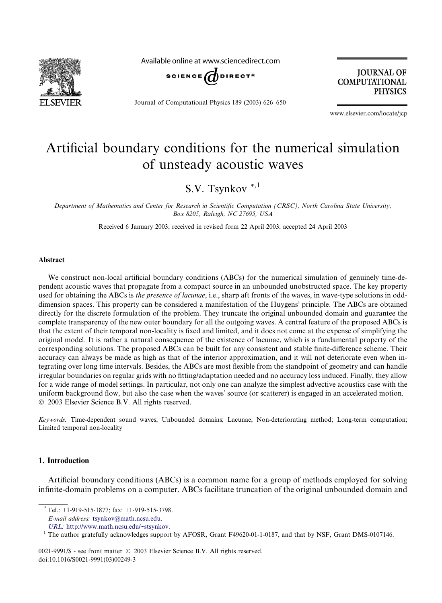

Available online at www.sciencedirect.com



Journal of Computational Physics 189 (2003) 626–650

**JOURNAL OF COMPUTATIONAL PHYSICS** 

www.elsevier.com/locate/jcp

# Artificial boundary conditions for the numerical simulation of unsteady acoustic waves

S.V. Tsynkov \*,1

Department of Mathematics and Center for Research in Scientific Computation (CRSC), North Carolina State University, Box 8205, Raleigh, NC 27695, USA

Received 6 January 2003; received in revised form 22 April 2003; accepted 24 April 2003

#### Abstract

We construct non-local artificial boundary conditions (ABCs) for the numerical simulation of genuinely time-dependent acoustic waves that propagate from a compact source in an unbounded unobstructed space. The key property used for obtaining the ABCs is the presence of lacunae, i.e., sharp aft fronts of the waves, in wave-type solutions in odddimension spaces. This property can be considered a manifestation of the Huygens' principle. The ABCs are obtained directly for the discrete formulation of the problem. They truncate the original unbounded domain and guarantee the complete transparency of the new outer boundary for all the outgoing waves. A central feature of the proposed ABCs is that the extent of their temporal non-locality is fixed and limited, and it does not come at the expense of simplifying the original model. It is rather a natural consequence of the existence of lacunae, which is a fundamental property of the corresponding solutions. The proposed ABCs can be built for any consistent and stable finite-difference scheme. Their accuracy can always be made as high as that of the interior approximation, and it will not deteriorate even when integrating over long time intervals. Besides, the ABCs are most flexible from the standpoint of geometry and can handle irregular boundaries on regular grids with no fitting/adaptation needed and no accuracy loss induced. Finally, they allow for a wide range of model settings. In particular, not only one can analyze the simplest advective acoustics case with the uniform background flow, but also the case when the waves' source (or scatterer) is engaged in an accelerated motion. 2003 Elsevier Science B.V. All rights reserved.

Keywords: Time-dependent sound waves; Unbounded domains; Lacunae; Non-deteriorating method; Long-term computation; Limited temporal non-locality

## 1. Introduction

Artificial boundary conditions (ABCs) is a common name for a group of methods employed for solving infinite-domain problems on a computer. ABCs facilitate truncation of the original unbounded domain and

0021-9991/\$ - see front matter  $\degree$  2003 Elsevier Science B.V. All rights reserved. doi:10.1016/S0021-9991(03)00249-3

<sup>\*</sup>Tel.: +1-919-515-1877; fax: +1-919-515-3798.

E-mail address: [tsynkov@math.ncsu.edu.](mail to: tsynkov@math.ncsu.edu.URL:)

URL: [http://www.math.ncsu.edu/~stsynkov.](http://www.math.ncsu.edu/~stsynkov)<br><sup>1</sup> The author gratefully acknowledges support by AFOSR, Grant F49620-01-1-0187, and that by NSF, Grant DMS-0107146.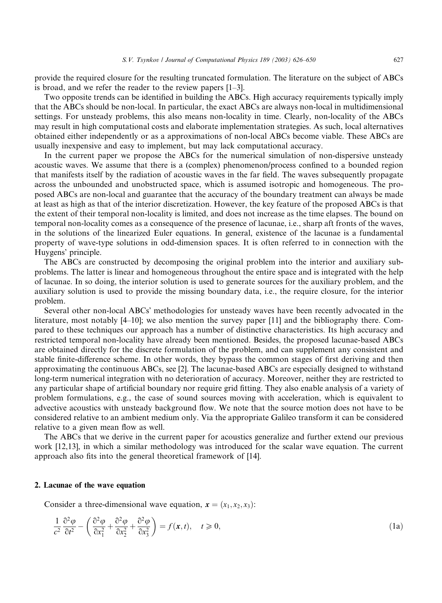provide the required closure for the resulting truncated formulation. The literature on the subject of ABCs is broad, and we refer the reader to the review papers [1–3].

Two opposite trends can be identified in building the ABCs. High accuracy requirements typically imply that the ABCs should be non-local. In particular, the exact ABCs are always non-local in multidimensional settings. For unsteady problems, this also means non-locality in time. Clearly, non-locality of the ABCs may result in high computational costs and elaborate implementation strategies. As such, local alternatives obtained either independently or as a approximations of non-local ABCs become viable. These ABCs are usually inexpensive and easy to implement, but may lack computational accuracy.

In the current paper we propose the ABCs for the numerical simulation of non-dispersive unsteady acoustic waves. We assume that there is a (complex) phenomenon/process confined to a bounded region that manifests itself by the radiation of acoustic waves in the far field. The waves subsequently propagate across the unbounded and unobstructed space, which is assumed isotropic and homogeneous. The proposed ABCs are non-local and guarantee that the accuracy of the boundary treatment can always be made at least as high as that of the interior discretization. However, the key feature of the proposed ABCs is that the extent of their temporal non-locality is limited, and does not increase as the time elapses. The bound on temporal non-locality comes as a consequence of the presence of lacunae, i.e., sharp aft fronts of the waves, in the solutions of the linearized Euler equations. In general, existence of the lacunae is a fundamental property of wave-type solutions in odd-dimension spaces. It is often referred to in connection with the Huygens' principle.

The ABCs are constructed by decomposing the original problem into the interior and auxiliary subproblems. The latter is linear and homogeneous throughout the entire space and is integrated with the help of lacunae. In so doing, the interior solution is used to generate sources for the auxiliary problem, and the auxiliary solution is used to provide the missing boundary data, i.e., the require closure, for the interior problem.

Several other non-local ABCs methodologies for unsteady waves have been recently advocated in the literature, most notably [4–10]; we also mention the survey paper [11] and the bibliography there. Compared to these techniques our approach has a number of distinctive characteristics. Its high accuracy and restricted temporal non-locality have already been mentioned. Besides, the proposed lacunae-based ABCs are obtained directly for the discrete formulation of the problem, and can supplement any consistent and stable finite-difference scheme. In other words, they bypass the common stages of first deriving and then approximating the continuous ABCs, see [2]. The lacunae-based ABCs are especially designed to withstand long-term numerical integration with no deterioration of accuracy. Moreover, neither they are restricted to any particular shape of artificial boundary nor require grid fitting. They also enable analysis of a variety of problem formulations, e.g., the case of sound sources moving with acceleration, which is equivalent to advective acoustics with unsteady background flow. We note that the source motion does not have to be considered relative to an ambient medium only. Via the appropriate Galileo transform it can be considered relative to a given mean flow as well.

The ABCs that we derive in the current paper for acoustics generalize and further extend our previous work [12,13], in which a similar methodology was introduced for the scalar wave equation. The current approach also fits into the general theoretical framework of [14].

## 2. Lacunae of the wave equation

Consider a three-dimensional wave equation,  $\mathbf{x} = (x_1, x_2, x_3)$ :

$$
\frac{1}{c^2} \frac{\partial^2 \varphi}{\partial t^2} - \left( \frac{\partial^2 \varphi}{\partial x_1^2} + \frac{\partial^2 \varphi}{\partial x_2^2} + \frac{\partial^2 \varphi}{\partial x_3^2} \right) = f(\mathbf{x}, t), \quad t \ge 0,
$$
\n(1a)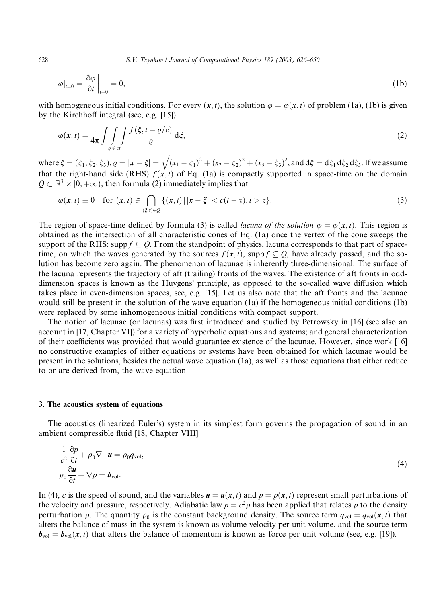628 S.V. Tsynkov / Journal of Computational Physics 189 (2003) 626–650

$$
\varphi|_{t=0} = \frac{\partial \varphi}{\partial t}\bigg|_{t=0} = 0,\tag{1b}
$$

with homogeneous initial conditions. For every  $(x, t)$ , the solution  $\varphi = \varphi(x, t)$  of problem (1a), (1b) is given by the Kirchhoff integral (see, e.g. [15])

$$
\varphi(\mathbf{x},t) = \frac{1}{4\pi} \int \int \int \int \frac{f(\xi, t - \varrho/c)}{\varrho} d\xi,
$$
\n(2)

where  $\xi = (\xi_1, \xi_2, \xi_3), \varrho = |\mathbf{x} - \xi| =$  $\sqrt{(x_1 - \xi_1)^2 + (x_2 - \xi_2)^2 + (x_3 - \xi_3)^2}$ , and  $d\xi = d\xi_1 d\xi_2 d\xi_3$ . If we assume that the right-hand side (RHS)  $f(x, t)$  of Eq. (1a) is compactly supported in space-time on the domain  $Q \subset \mathbb{R}^3 \times [0, +\infty)$ , then formula (2) immediately implies that

$$
\varphi(\mathbf{x},t) \equiv 0 \quad \text{for } (\mathbf{x},t) \in \bigcap_{(\xi,\tau)\in\mathcal{Q}} \{(\mathbf{x},t) \,|\, |\mathbf{x}-\xi| < c(t-\tau), t > \tau\}. \tag{3}
$$

The region of space-time defined by formula (3) is called lacuna of the solution  $\varphi = \varphi(x, t)$ . This region is obtained as the intersection of all characteristic cones of Eq. (1a) once the vertex of the cone sweeps the support of the RHS: supp  $f \subseteq O$ . From the standpoint of physics, lacuna corresponds to that part of spacetime, on which the waves generated by the sources  $f(x, t)$ , supp $f \subseteq Q$ , have already passed, and the solution has become zero again. The phenomenon of lacunae is inherently three-dimensional. The surface of the lacuna represents the trajectory of aft (trailing) fronts of the waves. The existence of aft fronts in odddimension spaces is known as the Huygens' principle, as opposed to the so-called wave diffusion which takes place in even-dimension spaces, see, e.g. [15]. Let us also note that the aft fronts and the lacunae would still be present in the solution of the wave equation (1a) if the homogeneous initial conditions (1b) were replaced by some inhomogeneous initial conditions with compact support.

The notion of lacunae (or lacunas) was first introduced and studied by Petrowsky in [16] (see also an account in [17, Chapter VI]) for a variety of hyperbolic equations and systems; and general characterization of their coefficients was provided that would guarantee existence of the lacunae. However, since work [16] no constructive examples of either equations or systems have been obtained for which lacunae would be present in the solutions, besides the actual wave equation (1a), as well as those equations that either reduce to or are derived from, the wave equation.

#### 3. The acoustics system of equations

The acoustics (linearized Euler's) system in its simplest form governs the propagation of sound in an ambient compressible fluid [18, Chapter VIII]

$$
\frac{1}{c^2} \frac{\partial p}{\partial t} + \rho_0 \nabla \cdot \mathbf{u} = \rho_0 q_{\text{vol}},
$$
  
\n
$$
\rho_0 \frac{\partial \mathbf{u}}{\partial t} + \nabla p = \mathbf{b}_{\text{vol}}.
$$
\n(4)

In (4), c is the speed of sound, and the variables  $u = u(x, t)$  and  $p = p(x, t)$  represent small perturbations of the velocity and pressure, respectively. Adiabatic law  $p = c^2 \rho$  has been applied that relates p to the density perturbation  $\rho$ . The quantity  $\rho_0$  is the constant background density. The source term  $q_{\text{vol}} = q_{\text{vol}}(x, t)$  that alters the balance of mass in the system is known as volume velocity per unit volume, and the source term **<sub>vol</sub> =**  $**b**$ **<sub>vol</sub>** $(x, t)$  **that alters the balance of momentum is known as force per unit volume (see, e.g. [19]).**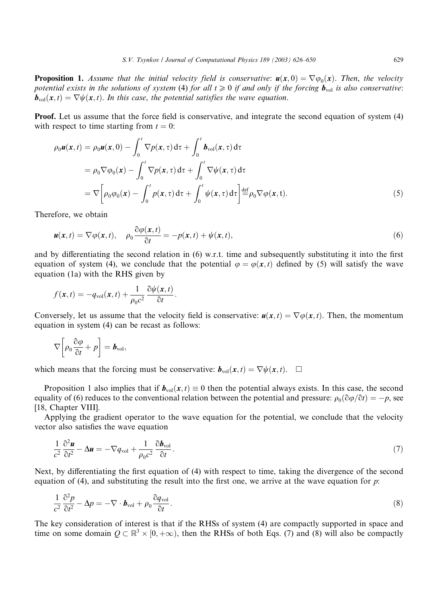**Proposition 1.** Assume that the initial velocity field is conservative:  $u(x, 0) = \nabla \varphi_0(x)$ . Then, the velocity potential exists in the solutions of system (4) for all  $t \ge 0$  if and only if the forcing  $b_{\text{vol}}$  is also conservative:  $\mathbf{b}_{\text{vol}}(\mathbf{x}, t) = \nabla \psi(\mathbf{x}, t)$ . In this case, the potential satisfies the wave equation.

Proof. Let us assume that the force field is conservative, and integrate the second equation of system (4) with respect to time starting from  $t = 0$ :

$$
\rho_0 \mathbf{u}(\mathbf{x}, t) = \rho_0 \mathbf{u}(\mathbf{x}, 0) - \int_0^t \nabla p(\mathbf{x}, \tau) d\tau + \int_0^t \mathbf{b}_{\text{vol}}(\mathbf{x}, \tau) d\tau \n= \rho_0 \nabla \varphi_0(\mathbf{x}) - \int_0^t \nabla p(\mathbf{x}, \tau) d\tau + \int_0^t \nabla \psi(\mathbf{x}, \tau) d\tau \n= \nabla \left[ \rho_0 \varphi_0(\mathbf{x}) - \int_0^t p(\mathbf{x}, \tau) d\tau + \int_0^t \psi(\mathbf{x}, \tau) d\tau \right] \stackrel{\text{def}}{=} \rho_0 \nabla \varphi(\mathbf{x}, t).
$$
\n(5)

Therefore, we obtain

$$
\mathbf{u}(\mathbf{x},t) = \nabla \varphi(\mathbf{x},t), \quad \rho_0 \frac{\partial \varphi(\mathbf{x},t)}{\partial t} = -p(\mathbf{x},t) + \psi(\mathbf{x},t), \tag{6}
$$

and by differentiating the second relation in (6) w.r.t. time and subsequently substituting it into the first equation of system (4), we conclude that the potential  $\varphi = \varphi(x, t)$  defined by (5) will satisfy the wave equation (1a) with the RHS given by

$$
f(\mathbf{x},t) = -q_{\text{vol}}(\mathbf{x},t) + \frac{1}{\rho_0 c^2} \frac{\partial \psi(\mathbf{x},t)}{\partial t}.
$$

Conversely, let us assume that the velocity field is conservative:  $u(x,t) = \nabla \varphi(x,t)$ . Then, the momentum equation in system (4) can be recast as follows:

$$
\nabla \bigg[\rho_0 \frac{\partial \varphi}{\partial t} + p\bigg] = \boldsymbol{b}_{\text{vol}},
$$

which means that the forcing must be conservative:  $\mathbf{b}_{vol}(x, t) = \nabla \psi(x, t)$ .  $\Box$ 

Proposition 1 also implies that if  $b_{vol}(x, t) \equiv 0$  then the potential always exists. In this case, the second equality of (6) reduces to the conventional relation between the potential and pressure:  $\rho_0(\partial \varphi/\partial t)=-p$ , see [18, Chapter VIII].

Applying the gradient operator to the wave equation for the potential, we conclude that the velocity vector also satisfies the wave equation

$$
\frac{1}{c^2} \frac{\partial^2 \boldsymbol{u}}{\partial t^2} - \Delta \boldsymbol{u} = -\nabla q_{\text{vol}} + \frac{1}{\rho_0 c^2} \frac{\partial \boldsymbol{b}_{\text{vol}}}{\partial t}.
$$
\n(7)

Next, by differentiating the first equation of (4) with respect to time, taking the divergence of the second equation of (4), and substituting the result into the first one, we arrive at the wave equation for  $p$ :

$$
\frac{1}{c^2} \frac{\partial^2 p}{\partial t^2} - \Delta p = -\nabla \cdot \boldsymbol{b}_{\text{vol}} + \rho_0 \frac{\partial q_{\text{vol}}}{\partial t}.
$$
\n(8)

The key consideration of interest is that if the RHSs of system (4) are compactly supported in space and time on some domain  $Q \subset \mathbb{R}^3 \times [0, +\infty)$ , then the RHSs of both Eqs. (7) and (8) will also be compactly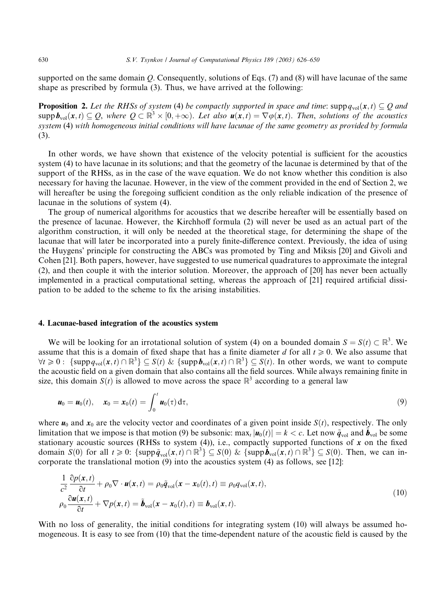supported on the same domain O. Consequently, solutions of Eqs. (7) and (8) will have lacunae of the same shape as prescribed by formula (3). Thus, we have arrived at the following:

**Proposition 2.** Let the RHSs of system (4) be compactly supported in space and time: supp $q_{vol}(x, t) \subseteq Q$  and supp  $\mathbf{b}_{\text{vol}}(x,t) \subseteq Q$ , where  $Q \subset \mathbb{R}^3 \times [0,+\infty)$ . Let also  $\mathbf{u}(x,t) = \nabla \varphi(x,t)$ . Then, solutions of the acoustics system (4) with homogeneous initial conditions will have lacunae of the same geometry as provided by formula (3).

In other words, we have shown that existence of the velocity potential is sufficient for the acoustics system (4) to have lacunae in its solutions; and that the geometry of the lacunae is determined by that of the support of the RHSs, as in the case of the wave equation. We do not know whether this condition is also necessary for having the lacunae. However, in the view of the comment provided in the end of Section 2, we will hereafter be using the foregoing sufficient condition as the only reliable indication of the presence of lacunae in the solutions of system (4).

The group of numerical algorithms for acoustics that we describe hereafter will be essentially based on the presence of lacunae. However, the Kirchhoff formula (2) will never be used as an actual part of the algorithm construction, it will only be needed at the theoretical stage, for determining the shape of the lacunae that will later be incorporated into a purely finite-difference context. Previously, the idea of using the Huygens' principle for constructing the ABCs was promoted by Ting and Miksis [20] and Givoli and Cohen [21]. Both papers, however, have suggested to use numerical quadratures to approximate the integral (2), and then couple it with the interior solution. Moreover, the approach of [20] has never been actually implemented in a practical computational setting, whereas the approach of [21] required artificial dissipation to be added to the scheme to fix the arising instabilities.

#### 4. Lacunae-based integration of the acoustics system

We will be looking for an irrotational solution of system (4) on a bounded domain  $S = S(t) \subset \mathbb{R}^3$ . We assume that this is a domain of fixed shape that has a finite diameter d for all  $t \ge 0$ . We also assume that  $\forall t \geq 0$  :  $\{\text{supp}\, q_{\text{vol}}(\bm{x},t) \cap \mathbb{R}^3\} \subseteq S(t)$  &  $\{\text{supp}\, \bm{b}_{\text{vol}}(\bm{x},t) \cap \mathbb{R}^3\} \subseteq S(t)$ . In other words, we want to compute the acoustic field on a given domain that also contains all the field sources. While always remaining finite in size, this domain  $S(t)$  is allowed to move across the space  $\mathbb{R}^3$  according to a general law

$$
\boldsymbol{u}_0 = \boldsymbol{u}_0(t), \quad \boldsymbol{x}_0 = \boldsymbol{x}_0(t) = \int_0^t \boldsymbol{u}_0(\tau) d\tau,
$$
\n(9)

where  $u_0$  and  $x_0$  are the velocity vector and coordinates of a given point inside  $S(t)$ , respectively. The only limitation that we impose is that motion (9) be subsonic:  $\max_t |u_0(t)| = k < c$ . Let now  $\tilde{q}_{vol}$  and  $\tilde{b}_{vol}$  be some stationary acoustic sources (RHSs to system  $(4)$ ), i.e., compactly supported functions of x on the fixed domain  $S(0)$  for all  $t \geq 0$ :  $\{\text{supp}\,\tilde{\bm{q}}_{\text{vol}}(\bm{x},t) \cap \mathbb{R}^3\} \subseteq S(0)$  &  $\{\text{supp}\,\tilde{\bm{b}}_{\text{vol}}(\bm{x},t) \cap \mathbb{R}^3\} \subseteq S(0)$ . Then, we can incorporate the translational motion (9) into the acoustics system (4) as follows, see [12]:

$$
\frac{1}{c^2} \frac{\partial p(\mathbf{x},t)}{\partial t} + \rho_0 \nabla \cdot \mathbf{u}(\mathbf{x},t) = \rho_0 \tilde{\mathbf{q}}_{\text{vol}}(\mathbf{x} - \mathbf{x}_0(t),t) \equiv \rho_0 q_{\text{vol}}(\mathbf{x},t),
$$
  
\n
$$
\rho_0 \frac{\partial \mathbf{u}(\mathbf{x},t)}{\partial t} + \nabla p(\mathbf{x},t) = \tilde{\mathbf{b}}_{\text{vol}}(\mathbf{x} - \mathbf{x}_0(t),t) \equiv \mathbf{b}_{\text{vol}}(\mathbf{x},t).
$$
\n(10)

With no loss of generality, the initial conditions for integrating system (10) will always be assumed homogeneous. It is easy to see from (10) that the time-dependent nature of the acoustic field is caused by the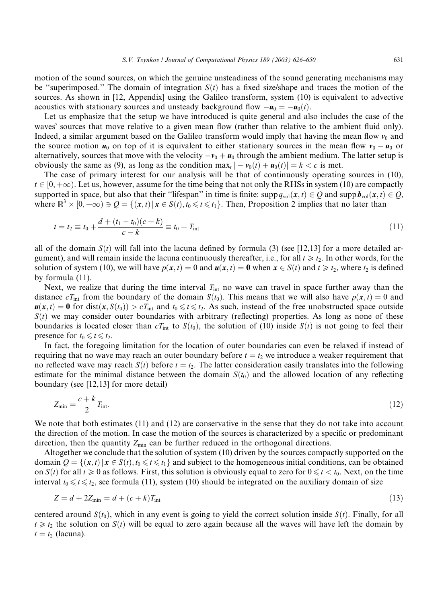motion of the sound sources, on which the genuine unsteadiness of the sound generating mechanisms may be "superimposed." The domain of integration  $S(t)$  has a fixed size/shape and traces the motion of the sources. As shown in [12, Appendix] using the Galileo transform, system (10) is equivalent to advective acoustics with stationary sources and unsteady background flow  $-\mathbf{u}_0 = -\mathbf{u}_0(t)$ .

Let us emphasize that the setup we have introduced is quite general and also includes the case of the waves' sources that move relative to a given mean flow (rather than relative to the ambient fluid only). Indeed, a similar argument based on the Galileo transform would imply that having the mean flow  $v_0$  and the source motion  $u_0$  on top of it is equivalent to either stationary sources in the mean flow  $v_0 - u_0$  or alternatively, sources that move with the velocity  $-v_0 + u_0$  through the ambient medium. The latter setup is obviously the same as (9), as long as the condition max<sub>t</sub>  $| - \mathbf{v}_0(t) + \mathbf{u}_0(t) | = k < c$  is met.

The case of primary interest for our analysis will be that of continuously operating sources in (10),  $t \in [0, +\infty)$ . Let us, however, assume for the time being that not only the RHSs in system (10) are compactly supported in space, but also that their "lifespan" in time is finite:  $\text{supp } q_{\text{vol}}(x, t) \in Q$  and  $\text{supp } b_{\text{vol}}(x, t) \in Q$ , where  $\mathbb{R}^3 \times [0, +\infty) \ni Q = \{(x, t) | x \in S(t), t_0 \leq t \leq t_1\}$ . Then, Proposition 2 implies that no later than

$$
t = t_2 \equiv t_0 + \frac{d + (t_1 - t_0)(c + k)}{c - k} \equiv t_0 + T_{\text{int}}
$$
\n(11)

all of the domain  $S(t)$  will fall into the lacuna defined by formula (3) (see [12,13] for a more detailed argument), and will remain inside the lacuna continuously thereafter, i.e., for all  $t \geq t_2$ . In other words, for the solution of system (10), we will have  $p(x, t) = 0$  and  $u(x, t) = 0$  when  $x \in S(t)$  and  $t \ge t_2$ , where  $t_2$  is defined by formula (11).

Next, we realize that during the time interval  $T_{int}$  no wave can travel in space further away than the distance  $cT_{\text{int}}$  from the boundary of the domain  $S(t_0)$ . This means that we will also have  $p(x, t) = 0$  and  $u(x, t) = 0$  for dist $(x, S(t_0)) > cT_{int}$  and  $t_0 \le t \le t_2$ . As such, instead of the free unobstructed space outside  $S(t)$  we may consider outer boundaries with arbitrary (reflecting) properties. As long as none of these boundaries is located closer than  $cT_{int}$  to  $S(t_0)$ , the solution of (10) inside  $S(t)$  is not going to feel their presence for  $t_0 \leq t \leq t_2$ .

In fact, the foregoing limitation for the location of outer boundaries can even be relaxed if instead of requiring that no wave may reach an outer boundary before  $t = t_2$  we introduce a weaker requirement that no reflected wave may reach  $S(t)$  before  $t = t_2$ . The latter consideration easily translates into the following estimate for the minimal distance between the domain  $S(t_0)$  and the allowed location of any reflecting boundary (see [12,13] for more detail)

$$
Z_{\min} = \frac{c+k}{2} T_{\text{int}}.\tag{12}
$$

We note that both estimates (11) and (12) are conservative in the sense that they do not take into account the direction of the motion. In case the motion of the sources is characterized by a specific or predominant direction, then the quantity  $Z_{\text{min}}$  can be further reduced in the orthogonal directions.

Altogether we conclude that the solution of system (10) driven by the sources compactly supported on the domain  $Q = \{ (x, t) | x \in S(t), t_0 \leq t \leq t_1 \}$  and subject to the homogeneous initial conditions, can be obtained on  $S(t)$  for all  $t \ge 0$  as follows. First, this solution is obviously equal to zero for  $0 \le t < t_0$ . Next, on the time interval  $t_0 \le t \le t_2$ , see formula (11), system (10) should be integrated on the auxiliary domain of size

$$
Z = d + 2Z_{\min} = d + (c + k)T_{\text{int}}
$$
\n(13)

centered around  $S(t_0)$ , which in any event is going to yield the correct solution inside  $S(t)$ . Finally, for all  $t \geq t_2$  the solution on  $S(t)$  will be equal to zero again because all the waves will have left the domain by  $t = t_2$  (lacuna).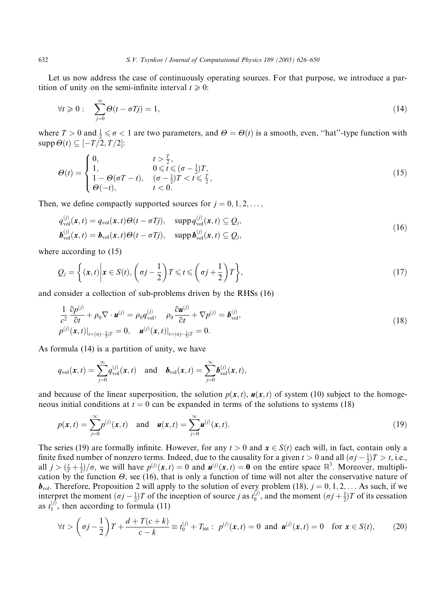Let us now address the case of continuously operating sources. For that purpose, we introduce a partition of unity on the semi-infinite interval  $t \ge 0$ :

$$
\forall t \geq 0: \quad \sum_{j=0}^{\infty} \Theta(t - \sigma T j) = 1,\tag{14}
$$

where  $T > 0$  and  $\frac{1}{2} \le \sigma < 1$  are two parameters, and  $\Theta = \Theta(t)$  is a smooth, even, "hat"-type function with  $\text{supp}\,\Theta(t) \subseteq [-T/2, T/2]$ :

$$
\Theta(t) = \begin{cases} 0, & t > \frac{T}{2}, \\ 1, & 0 \leq t \leq (\sigma - \frac{1}{2})T, \\ 1 - \Theta(\sigma T - t), & (\sigma - \frac{1}{2})T < t \leq \frac{T}{2}, \\ \Theta(-t), & t < 0. \end{cases}
$$
(15)

Then, we define compactly supported sources for  $j = 0, 1, 2, \ldots$ 

$$
q_{\text{vol}}^{(j)}(\mathbf{x},t) = q_{\text{vol}}(\mathbf{x},t)\Theta(t-\sigma Tj), \quad \text{supp } q_{\text{vol}}^{(j)}(\mathbf{x},t) \subseteq Q_j,
$$
  

$$
\boldsymbol{b}_{\text{vol}}^{(j)}(\mathbf{x},t) = \boldsymbol{b}_{\text{vol}}(\mathbf{x},t)\Theta(t-\sigma Tj), \quad \text{supp } \boldsymbol{b}_{\text{vol}}^{(j)}(\mathbf{x},t) \subseteq Q_j,
$$
 (16)

where according to (15)

$$
Q_j = \left\{ (\mathbf{x}, t) \middle| \mathbf{x} \in S(t), \left( \sigma j - \frac{1}{2} \right) T \leq t \leq \left( \sigma j + \frac{1}{2} \right) T \right\},\tag{17}
$$

and consider a collection of sub-problems driven by the RHSs (16)

$$
\frac{1}{c^2} \frac{\partial p^{(j)}}{\partial t} + \rho_0 \nabla \cdot \mathbf{u}^{(j)} = \rho_0 q_{\text{vol}}^{(j)}, \quad \rho_0 \frac{\partial \mathbf{u}^{(j)}}{\partial t} + \nabla p^{(j)} = \mathbf{b}_{\text{vol}}^{(j)},
$$
\n
$$
p^{(j)}(\mathbf{x}, t)|_{t=(\sigma j - \frac{1}{2})T} = 0, \quad \mathbf{u}^{(j)}(\mathbf{x}, t)|_{t=(\sigma j - \frac{1}{2})T} = 0.
$$
\n(18)

As formula (14) is a partition of unity, we have

$$
q_{\text{vol}}(\boldsymbol{x},t)=\sum_{j=0}^{\infty}q_{\text{vol}}^{(j)}(\boldsymbol{x},t) \text{ and } \boldsymbol{b}_{\text{vol}}(\boldsymbol{x},t)=\sum_{j=0}^{\infty}\boldsymbol{b}_{\text{vol}}^{(j)}(\boldsymbol{x},t),
$$

and because of the linear superposition, the solution  $p(x, t)$ ,  $u(x, t)$  of system (10) subject to the homogeneous initial conditions at  $t = 0$  can be expanded in terms of the solutions to systems (18)

$$
p(x,t) = \sum_{j=0}^{\infty} p^{(j)}(x,t) \text{ and } u(x,t) = \sum_{j=0}^{\infty} u^{(j)}(x,t).
$$
 (19)

The series (19) are formally infinite. However, for any  $t > 0$  and  $x \in S(t)$  each will, in fact, contain only a finite fixed number of nonzero terms. Indeed, due to the causality for a given  $t > 0$  and all  $(\sigma j - \frac{1}{2})T > t$ , i.e., all  $j > (\frac{t}{T} + \frac{1}{2})/\sigma$ , we will have  $p^{(j)}(x, t) = 0$  and  $u^{(j)}(x, t) = 0$  on the entire space  $\mathbb{R}^3$ . Moreover, multiplication by the function  $\Theta$ , see (16), that is only a function of time will not alter the conservative nature of **<sub>vol</sub>. Therefore, Proposition 2 will apply to the solution of every problem (18),**  $j = 0, 1, 2, \ldots$  **As such, if we** interpret the moment  $(\sigma j - \frac{1}{2})T$  of the inception of source j as  $t_0^{(j)}$ , and the moment  $(\sigma j + \frac{1}{2})T$  of its cessation as  $t_1^{(j)}$ , then according to formula (11)

$$
\forall t > \left(\sigma j - \frac{1}{2}\right)T + \frac{d + T(c + k)}{c - k} \equiv t_0^{(j)} + T_{\text{int}}: \ p^{(j)}(x, t) = 0 \text{ and } \mathbf{u}^{(j)}(x, t) = 0 \text{ for } x \in S(t), \tag{20}
$$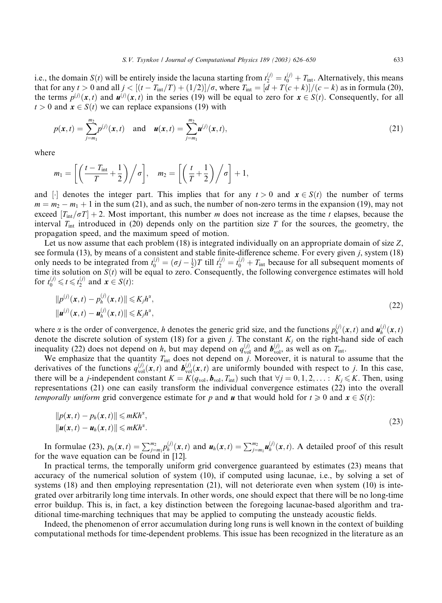i.e., the domain  $S(t)$  will be entirely inside the lacuna starting from  $t_2^{(j)} = t_0^{(j)} + T_{int}$ . Alternatively, this means that for any  $t > 0$  and all  $j < [(t - T_{int}/T) + (1/2)]/\sigma$ , where  $T_{int} = [\tilde{d} + T(c + k)]/(c - k)$  as in formula (20), the terms  $p^{(j)}(x,t)$  and  $u^{(j)}(x,t)$  in the series (19) will be equal to zero for  $x \in S(t)$ . Consequently, for all  $t > 0$  and  $x \in S(t)$  we can replace expansions (19) with

$$
p(x,t) = \sum_{j=m_1}^{m_2} p^{(j)}(x,t) \text{ and } \mathbf{u}(x,t) = \sum_{j=m_1}^{m_2} \mathbf{u}^{(j)}(x,t),
$$
\n(21)

where

$$
m_1 = \left[ \left( \frac{t - T_{\text{int}}}{T} + \frac{1}{2} \right) \middle/ \sigma \right], \quad m_2 = \left[ \left( \frac{t}{T} + \frac{1}{2} \right) \middle/ \sigma \right] + 1,
$$

and [:] denotes the integer part. This implies that for any  $t > 0$  and  $x \in S(t)$  the number of terms  $m = m_1 - m_1 + 1$  in the sum (21), and as such, the number of non-zero terms in the expansion (19), may not exceed  $[T_{int}/\sigma T]$  + 2. Most important, this number m does not increase as the time t elapses, because the interval  $T_{\text{int}}$  introduced in (20) depends only on the partition size T for the sources, the geometry, the propagation speed, and the maximum speed of motion.

Let us now assume that each problem  $(18)$  is integrated individually on an appropriate domain of size Z, see formula (13), by means of a consistent and stable finite-difference scheme. For every given j, system (18) only needs to be integrated from  $t_0^{(j)} = (\sigma j - \frac{1}{2})T$  till  $t_2^{(j)} = t_0^{(j)} + T_{int}$  because for all subsequent moments of time its solution on  $S(t)$  will be equal to zero. Consequently, the following convergence estimates will hold for  $t_0^{(j)} \leq t \leq t_2^{(j)}$  and  $\mathbf{x} \in S(t)$ :

$$
||p^{(j)}(x,t) - p_h^{(j)}(x,t)|| \le K_j h^{\alpha},
$$
  
\n
$$
||u^{(j)}(x,t) - u_h^{(j)}(x,t)|| \le K_j h^{\alpha},
$$
\n(22)

where  $\alpha$  is the order of convergence, h denotes the generic grid size, and the functions  $p_h^{(j)}(x, t)$  and  $u_h^{(j)}(x, t)$ denote the discrete solution of system (18) for a given j. The constant  $K_i$  on the right-hand side of each inequality (22) does not depend on h, but may depend on  $q_{\text{vol}}^{(j)}$  and  $\boldsymbol{b}_{\text{vol}}^{(j)}$ , as well as on  $T_{\text{int}}$ .

We emphasize that the quantity  $T_{\text{int}}$  does not depend on j. Moreover, it is natural to assume that the derivatives of the functions  $q_{vol}^{(j)}(x, t)$  and  $b_{vol}^{(j)}(x, t)$  are uniformly bounded with respect to j. In this case, there will be a *j*-independent constant  $K = K(q_{\text{vol}}, b_{\text{vol}}, T_{\text{int}})$  such that  $\forall j = 0, 1, 2, \ldots : K_j \leq K$ . Then, using representations (21) one can easily transform the individual convergence estimates (22) into the overall temporally uniform grid convergence estimate for p and **u** that would hold for  $t \ge 0$  and  $x \in S(t)$ :

$$
||p(\mathbf{x},t)-p_h(\mathbf{x},t)|| \leq mKh^{\alpha},
$$
  
\n
$$
||\mathbf{u}(\mathbf{x},t)-\mathbf{u}_h(\mathbf{x},t)|| \leq mKh^{\alpha}.
$$
\n(23)

In formulae (23),  $p_h(x,t) = \sum_{j=m_1}^{m_2} p_h^{(j)}(x,t)$  and  $u_h(x,t) = \sum_{j=m_1}^{m_2} u_h^{(j)}(x,t)$ . A detailed proof of this result for the wave equation can be found in [12].

In practical terms, the temporally uniform grid convergence guaranteed by estimates (23) means that accuracy of the numerical solution of system (10), if computed using lacunae, i.e., by solving a set of systems (18) and then employing representation (21), will not deteriorate even when system (10) is integrated over arbitrarily long time intervals. In other words, one should expect that there will be no long-time error buildup. This is, in fact, a key distinction between the foregoing lacunae-based algorithm and traditional time-marching techniques that may be applied to computing the unsteady acoustic fields.

Indeed, the phenomenon of error accumulation during long runs is well known in the context of building computational methods for time-dependent problems. This issue has been recognized in the literature as an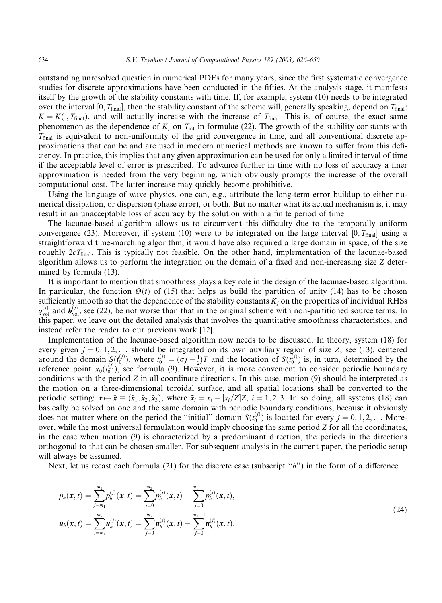outstanding unresolved question in numerical PDEs for many years, since the first systematic convergence studies for discrete approximations have been conducted in the fifties. At the analysis stage, it manifests itself by the growth of the stability constants with time. If, for example, system (10) needs to be integrated over the interval [0,  $T_{final}$ ], then the stability constant of the scheme will, generally speaking, depend on  $T_{final}$ :  $K = K(\cdot, T_{final})$ , and will actually increase with the increase of  $T_{final}$ . This is, of course, the exact same phenomenon as the dependence of  $K_j$  on  $T_{int}$  in formulae (22). The growth of the stability constants with  $T_{final}$  is equivalent to non-uniformity of the grid convergence in time, and all conventional discrete approximations that can be and are used in modern numerical methods are known to suffer from this deficiency. In practice, this implies that any given approximation can be used for only a limited interval of time if the acceptable level of error is prescribed. To advance further in time with no loss of accuracy a finer approximation is needed from the very beginning, which obviously prompts the increase of the overall computational cost. The latter increase may quickly become prohibitive.

Using the language of wave physics, one can, e.g., attribute the long-term error buildup to either numerical dissipation, or dispersion (phase error), or both. But no matter what its actual mechanism is, it may result in an unacceptable loss of accuracy by the solution within a finite period of time.

The lacunae-based algorithm allows us to circumvent this difficulty due to the temporally uniform convergence (23). Moreover, if system (10) were to be integrated on the large interval [0,  $T_{final}$ ] using a straightforward time-marching algorithm, it would have also required a large domain in space, of the size roughly  $2cT<sub>final</sub>$ . This is typically not feasible. On the other hand, implementation of the lacunae-based algorithm allows us to perform the integration on the domain of a fixed and non-increasing size Z determined by formula (13).

It is important to mention that smoothness plays a key role in the design of the lacunae-based algorithm. In particular, the function  $\Theta(t)$  of (15) that helps us build the partition of unity (14) has to be chosen sufficiently smooth so that the dependence of the stability constants  $K_j$  on the properties of individual RHSs  $q_{\text{vol}}^{(j)}$  and  $\mathbf{b}_{\text{vol}}^{(j)}$ , see (22), be not worse than that in the original scheme with non-partitioned source terms. In this paper, we leave out the detailed analysis that involves the quantitative smoothness characteristics, and instead refer the reader to our previous work [12].

Implementation of the lacunae-based algorithm now needs to be discussed. In theory, system (18) for every given  $j = 0, 1, 2, \ldots$  should be integrated on its own auxiliary region of size Z, see (13), centered around the domain  $S(t_0^{(j)})$ , where  $t_0^{(j)} = (\sigma_j - \frac{1}{2})T$  and the location of  $S(t_0^{(j)})$  is, in turn, determined by the reference point  $x_0(t_0^{(j)})$ , see formula (9). However, it is more convenient to consider periodic boundary conditions with the period  $Z$  in all coordinate directions. In this case, motion  $(9)$  should be interpreted as the motion on a three-dimensional toroidal surface, and all spatial locations shall be converted to the periodic setting:  $x \mapsto \tilde{x} \equiv (\tilde{x}_1, \tilde{x}_2, \tilde{x}_3)$ , where  $\tilde{x}_i = x_i - [x_i/Z]Z$ ,  $i = 1, 2, 3$ . In so doing, all systems (18) can basically be solved on one and the same domain with periodic boundary conditions, because it obviously does not matter where on the period the "initial" domain  $S(t_0^{(j)})$  is located for every  $j = 0, 1, 2, \ldots$  Moreover, while the most universal formulation would imply choosing the same period  $Z$  for all the coordinates, in the case when motion (9) is characterized by a predominant direction, the periods in the directions orthogonal to that can be chosen smaller. For subsequent analysis in the current paper, the periodic setup will always be assumed.

Next, let us recast each formula (21) for the discrete case (subscript " $h$ ") in the form of a difference

$$
p_h(\mathbf{x},t) = \sum_{j=m_1}^{m_2} p_h^{(j)}(\mathbf{x},t) = \sum_{j=0}^{m_2} p_h^{(j)}(\mathbf{x},t) - \sum_{j=0}^{m_1-1} p_h^{(j)}(\mathbf{x},t),
$$
  

$$
\mathbf{u}_h(\mathbf{x},t) = \sum_{j=m_1}^{m_2} \mathbf{u}_h^{(j)}(\mathbf{x},t) = \sum_{j=0}^{m_2} \mathbf{u}_h^{(j)}(\mathbf{x},t) - \sum_{j=0}^{m_1-1} \mathbf{u}_h^{(j)}(\mathbf{x},t).
$$
 (24)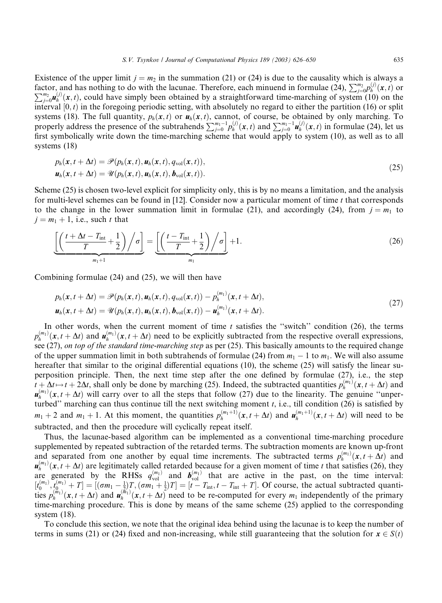Existence of the upper limit  $j = m_2$  in the summation (21) or (24) is due to the causality which is always a factor, and has nothing to do with the lacunae. Therefore, each minuend in formulae  $(24)$ ,  $\sum_{j=0}^{m_2} p_h^{(j)}(\mathbf{x}, t)$  or  $\sum_{j=0}^{m_2} p_h^{(j)}(\mathbf{x}, t)$  could have simply been obtained by a straightforward time marching of  $\sum_{j=0}^{m_2} u_h^{(j)}(x,t)$ , could have simply been obtained by a straightforward time-marching of system (10) on the interval  $[0, t)$  in the foregoing periodic setting, with absolutely no regard to either the partition (16) or split systems (18). The full quantity,  $p_h(x, t)$  or  $u_h(x, t)$ , cannot, of course, be obtained by only marching. To properly address the presence of the subtrahends  $\sum_{j=0}^{\infty} p_h^{(j)}(x,t)$  and  $\sum_{j=0}^{\infty} u_h^{(j)}(x,t)$  in formulae (24), let us first symbolically write down the time-marching scheme that would apply to system (10), as well as to all systems (18)

$$
p_h(\mathbf{x}, t + \Delta t) = \mathscr{P}(p_h(\mathbf{x}, t), \mathbf{u}_h(\mathbf{x}, t), q_{\text{vol}}(\mathbf{x}, t)),
$$
  

$$
\mathbf{u}_h(\mathbf{x}, t + \Delta t) = \mathscr{U}(p_h(\mathbf{x}, t), \mathbf{u}_h(\mathbf{x}, t), \mathbf{b}_{\text{vol}}(\mathbf{x}, t)).
$$
\n(25)

Scheme (25) is chosen two-level explicit for simplicity only, this is by no means a limitation, and the analysis for multi-level schemes can be found in [12]. Consider now a particular moment of time  $t$  that corresponds to the change in the lower summation limit in formulae (21), and accordingly (24), from  $j = m_1$  to  $j = m_1 + 1$ , i.e., such t that

$$
\underbrace{\left[\left(\frac{t+\Delta t-T_{\text{int}}}{T}+\frac{1}{2}\right)\bigg/\sigma\right]}_{m_1+1}=\underbrace{\left[\left(\frac{t-T_{\text{int}}}{T}+\frac{1}{2}\right)\bigg/\sigma\right]}_{m_1}+1.
$$
\n(26)

Combining formulae (24) and (25), we will then have

$$
p_h(\mathbf{x}, t + \Delta t) = \mathscr{P}(p_h(\mathbf{x}, t), \mathbf{u}_h(\mathbf{x}, t), q_{\text{vol}}(\mathbf{x}, t)) - p_h^{(m_1)}(\mathbf{x}, t + \Delta t),
$$
  

$$
\mathbf{u}_h(\mathbf{x}, t + \Delta t) = \mathscr{U}(p_h(\mathbf{x}, t), \mathbf{u}_h(\mathbf{x}, t), \mathbf{b}_{\text{vol}}(\mathbf{x}, t)) - \mathbf{u}_h^{(m_1)}(\mathbf{x}, t + \Delta t).
$$
 (27)

In other words, when the current moment of time  $t$  satisfies the "switch" condition (26), the terms  $p_h^{(m_1)}(x, t + \Delta t)$  and  $\mathbf{u}_h^{(m_1)}(x, t + \Delta t)$  need to be explicitly subtracted from the respective overall expressions, see (27), on top of the standard time-marching step as per (25). This basically amounts to the required change of the upper summation limit in both subtrahends of formulae (24) from  $m_1 - 1$  to  $m_1$ . We will also assume hereafter that similar to the original differential equations (10), the scheme (25) will satisfy the linear superposition principle. Then, the next time step after the one defined by formulae (27), i.e., the step  $t + \Delta t \mapsto t + 2\Delta t$ , shall only be done by marching (25). Indeed, the subtracted quantities  $p_h^{(m_1)}(x, t + \Delta t)$  and  $u_h^{(m_1)}(x, t + \Delta t)$  will carry over to all the steps that follow (27) due to the linearity. The genuine "unperturbed" marching can thus continue till the next switching moment  $t$ , i.e., till condition (26) is satisfied by  $m_1 + 2$  and  $m_1 + 1$ . At this moment, the quantities  $p_h^{(m_1+1)}(x, t + \Delta t)$  and  $u_h^{(m_1+1)}(x, t + \Delta t)$  will need to be subtracted, and then the procedure will cyclically repeat itself.

Thus, the lacunae-based algorithm can be implemented as a conventional time-marching procedure supplemented by repeated subtraction of the retarded terms. The subtraction moments are known up-front and separated from one another by equal time increments. The subtracted terms  $p_h^{(m_1)}(x, t + \Delta t)$  and  $u_h^{(m_1)}(x, t + \Delta t)$  are legitimately called retarded because for a given moment of time t that satisfies (26), they are generated by the RHSs  $q_{\text{vol}}^{(m_1)}$  and  $b_{\text{vol}}^{(m_1)}$  that are active in the past, on the time interval:  $[t_0^{(m_1)}, t_{0}^{(m_1)}+T] = [(\sigma m_1 - \frac{1}{2})T, (\sigma m_1 + \frac{1}{2})T] = [t - T_{int}, t - T_{int} + T]$ . Of course, the actual subtracted quantities  $p_h^{(\tilde{m}_1)}(x, t + \Delta t)$  and  $\mathbf{u}_h^{(\tilde{m}_1)}(x, t + \Delta t)$  need to be re-computed for every  $m_1$  independently of the primary time-marching procedure. This is done by means of the same scheme (25) applied to the corresponding system (18).

To conclude this section, we note that the original idea behind using the lacunae is to keep the number of terms in sums (21) or (24) fixed and non-increasing, while still guaranteeing that the solution for  $x \in S(t)$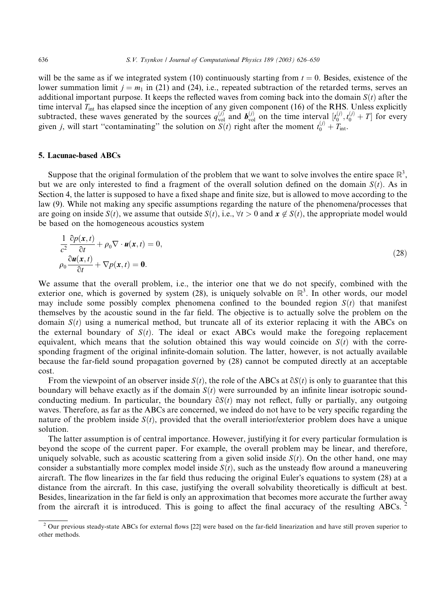will be the same as if we integrated system (10) continuously starting from  $t = 0$ . Besides, existence of the lower summation limit  $j = m_1$  in (21) and (24), i.e., repeated subtraction of the retarded terms, serves an additional important purpose. It keeps the reflected waves from coming back into the domain  $S(t)$  after the time interval  $T_{\text{int}}$  has elapsed since the inception of any given component (16) of the RHS. Unless explicitly subtracted, these waves generated by the sources  $q_{\text{vol}}^{(j)}$  and  $\boldsymbol{b}_{\text{vol}}^{(j)}$  on the time interval  $[t_0^{(j)}, t_0^{(j)} + T]$  for every given *j*, will start "contaminating" the solution on  $S(t)$  right after the moment  $t_0^{(j)} + T_{int}$ .

### 5. Lacunae-based ABCs

Suppose that the original formulation of the problem that we want to solve involves the entire space  $\mathbb{R}^3$ , but we are only interested to find a fragment of the overall solution defined on the domain  $S(t)$ . As in Section 4, the latter is supposed to have a fixed shape and finite size, but is allowed to move according to the law (9). While not making any specific assumptions regarding the nature of the phenomena/processes that are going on inside  $S(t)$ , we assume that outside  $S(t)$ , i.e.,  $\forall t > 0$  and  $x \notin S(t)$ , the appropriate model would be based on the homogeneous acoustics system

$$
\frac{1}{c^2} \frac{\partial p(\mathbf{x}, t)}{\partial t} + \rho_0 \nabla \cdot \mathbf{u}(\mathbf{x}, t) = 0,
$$
  
\n
$$
\rho_0 \frac{\partial \mathbf{u}(\mathbf{x}, t)}{\partial t} + \nabla p(\mathbf{x}, t) = \mathbf{0}.
$$
\n(28)

We assume that the overall problem, i.e., the interior one that we do not specify, combined with the exterior one, which is governed by system (28), is uniquely solvable on  $\mathbb{R}^3$ . In other words, our model may include some possibly complex phenomena confined to the bounded region  $S(t)$  that manifest themselves by the acoustic sound in the far field. The objective is to actually solve the problem on the domain  $S(t)$  using a numerical method, but truncate all of its exterior replacing it with the ABCs on the external boundary of  $S(t)$ . The ideal or exact ABCs would make the foregoing replacement equivalent, which means that the solution obtained this way would coincide on  $S(t)$  with the corresponding fragment of the original infinite-domain solution. The latter, however, is not actually available because the far-field sound propagation governed by (28) cannot be computed directly at an acceptable cost.

From the viewpoint of an observer inside  $S(t)$ , the role of the ABCs at  $\partial S(t)$  is only to guarantee that this boundary will behave exactly as if the domain  $S(t)$  were surrounded by an infinite linear isotropic soundconducting medium. In particular, the boundary  $\partial S(t)$  may not reflect, fully or partially, any outgoing waves. Therefore, as far as the ABCs are concerned, we indeed do not have to be very specific regarding the nature of the problem inside  $S(t)$ , provided that the overall interior/exterior problem does have a unique solution.

The latter assumption is of central importance. However, justifying it for every particular formulation is beyond the scope of the current paper. For example, the overall problem may be linear, and therefore, uniquely solvable, such as acoustic scattering from a given solid inside  $S(t)$ . On the other hand, one may consider a substantially more complex model inside  $S(t)$ , such as the unsteady flow around a maneuvering aircraft. The flow linearizes in the far field thus reducing the original Euler's equations to system (28) at a distance from the aircraft. In this case, justifying the overall solvability theoretically is difficult at best. Besides, linearization in the far field is only an approximation that becomes more accurate the further away from the aircraft it is introduced. This is going to affect the final accuracy of the resulting ABCs. <sup>2</sup>

<sup>&</sup>lt;sup>2</sup> Our previous steady-state ABCs for external flows [22] were based on the far-field linearization and have still proven superior to other methods.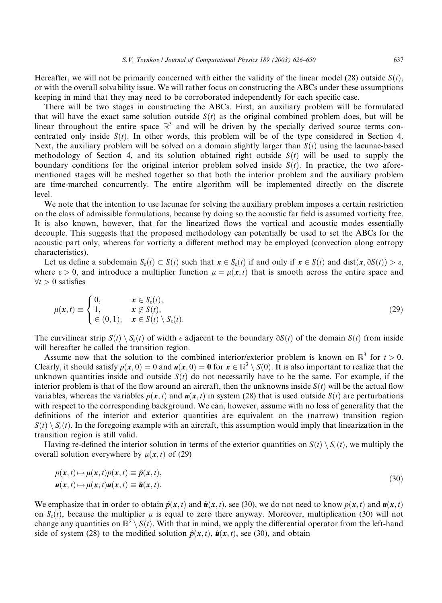Hereafter, we will not be primarily concerned with either the validity of the linear model (28) outside  $S(t)$ , or with the overall solvability issue. We will rather focus on constructing the ABCs under these assumptions keeping in mind that they may need to be corroborated independently for each specific case.

There will be two stages in constructing the ABCs. First, an auxiliary problem will be formulated that will have the exact same solution outside  $S(t)$  as the original combined problem does, but will be linear throughout the entire space  $\mathbb{R}^3$  and will be driven by the specially derived source terms concentrated only inside  $S(t)$ . In other words, this problem will be of the type considered in Section 4. Next, the auxiliary problem will be solved on a domain slightly larger than  $S(t)$  using the lacunae-based methodology of Section 4, and its solution obtained right outside  $S(t)$  will be used to supply the boundary conditions for the original interior problem solved inside  $S(t)$ . In practice, the two aforementioned stages will be meshed together so that both the interior problem and the auxiliary problem are time-marched concurrently. The entire algorithm will be implemented directly on the discrete level.

We note that the intention to use lacunae for solving the auxiliary problem imposes a certain restriction on the class of admissible formulations, because by doing so the acoustic far field is assumed vorticity free. It is also known, however, that for the linearized flows the vortical and acoustic modes essentially decouple. This suggests that the proposed methodology can potentially be used to set the ABCs for the acoustic part only, whereas for vorticity a different method may be employed (convection along entropy characteristics).

Let us define a subdomain  $S_{\varepsilon}(t) \subset S(t)$  such that  $x \in S_{\varepsilon}(t)$  if and only if  $x \in S(t)$  and dist $(x, \partial S(t)) > \varepsilon$ , where  $\varepsilon > 0$ , and introduce a multiplier function  $\mu = \mu(x, t)$  that is smooth across the entire space and  $\forall t > 0$  satisfies

$$
\mu(x,t) \equiv \begin{cases} 0, & x \in S_{\varepsilon}(t), \\ 1, & x \notin S(t), \\ \in (0,1), & x \in S(t) \setminus S_{\varepsilon}(t). \end{cases}
$$
\n(29)

The curvilinear strip  $S(t) \setminus S_e(t)$  of width  $\epsilon$  adjacent to the boundary  $\delta S(t)$  of the domain  $S(t)$  from inside will hereafter be called the transition region.

Assume now that the solution to the combined interior/exterior problem is known on  $\mathbb{R}^3$  for  $t > 0$ . Clearly, it should satisfy  $p(x, 0) = 0$  and  $u(x, 0) = 0$  for  $x \in \mathbb{R}^3 \setminus S(0)$ . It is also important to realize that the unknown quantities inside and outside  $S(t)$  do not necessarily have to be the same. For example, if the interior problem is that of the flow around an aircraft, then the unknowns inside  $S(t)$  will be the actual flow variables, whereas the variables  $p(x, t)$  and  $u(x, t)$  in system (28) that is used outside  $S(t)$  are perturbations with respect to the corresponding background. We can, however, assume with no loss of generality that the definitions of the interior and exterior quantities are equivalent on the (narrow) transition region  $S(t) \ S<sub>\epsilon</sub>(t)$ . In the foregoing example with an aircraft, this assumption would imply that linearization in the transition region is still valid.

Having re-defined the interior solution in terms of the exterior quantities on  $S(t) \setminus S_{\varepsilon}(t)$ , we multiply the overall solution everywhere by  $\mu(x, t)$  of (29)

$$
p(x,t) \mapsto \mu(x,t)p(x,t) \equiv \hat{p}(x,t),
$$
  

$$
\mathbf{u}(x,t) \mapsto \mu(x,t)\mathbf{u}(x,t) \equiv \hat{\mathbf{u}}(x,t).
$$
 (30)

We emphasize that in order to obtain  $\hat{p}(x, t)$  and  $\hat{u}(x, t)$ , see (30), we do not need to know  $p(x, t)$  and  $u(x, t)$ on  $S_{\varepsilon}(t)$ , because the multiplier  $\mu$  is equal to zero there anyway. Moreover, multiplication (30) will not change any quantities on  $\mathbb{R}^3 \setminus S(t)$ . With that in mind, we apply the differential operator from the left-hand side of system (28) to the modified solution  $\hat{p}(x, t)$ ,  $\hat{u}(x, t)$ , see (30), and obtain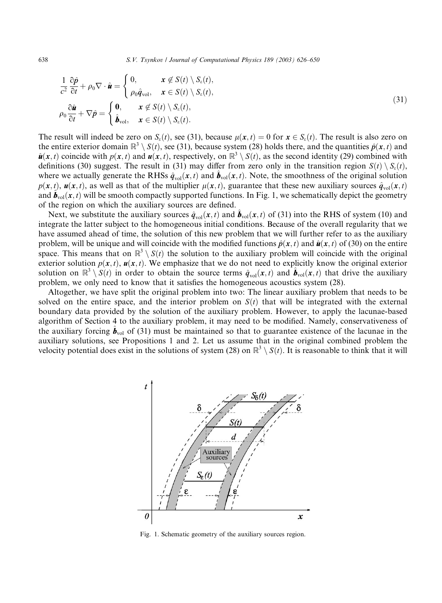$$
\frac{1}{c^2} \frac{\partial \hat{p}}{\partial t} + \rho_0 \nabla \cdot \hat{\boldsymbol{u}} = \begin{cases} 0, & \mathbf{x} \notin S(t) \setminus S_{\varepsilon}(t), \\ \rho_0 \hat{q}_{\text{vol}}, & \mathbf{x} \in S(t) \setminus S_{\varepsilon}(t), \end{cases} \tag{31}
$$
\n
$$
\rho_0 \frac{\partial \hat{\boldsymbol{u}}}{\partial t} + \nabla \hat{p} = \begin{cases} 0, & \mathbf{x} \notin S(t) \setminus S_{\varepsilon}(t), \\ \hat{\boldsymbol{b}}_{\text{vol}}, & \mathbf{x} \in S(t) \setminus S_{\varepsilon}(t). \end{cases}
$$

The result will indeed be zero on  $S_{\varepsilon}(t)$ , see (31), because  $\mu(x, t) = 0$  for  $x \in S_{\varepsilon}(t)$ . The result is also zero on the entire exterior domain  $\mathbb{R}^3 \setminus S(t)$ , see (31), because system (28) holds there, and the quantities  $\hat{p}(x, t)$  and  $\hat{u}(x, t)$  coincide with  $p(x, t)$  and  $u(x, t)$ , respectively, on  $\mathbb{R}^3 \setminus S(t)$ , as the second identity (29) combined with definitions (30) suggest. The result in (31) may differ from zero only in the transition region  $S(t) \setminus S_{\varepsilon}(t)$ , where we actually generate the RHSs  $\hat{q}_{vol}(x, t)$  and  $\hat{b}_{vol}(x, t)$ . Note, the smoothness of the original solution  $p(x, t)$ ,  $u(x, t)$ , as well as that of the multiplier  $\mu(x, t)$ , guarantee that these new auxiliary sources  $\hat{q}_{vol}(x, t)$ and  $\mathbf{b}_{\text{vol}}(x, t)$  will be smooth compactly supported functions. In Fig. 1, we schematically depict the geometry of the region on which the auxiliary sources are defined.

Next, we substitute the auxiliary sources  $\hat{q}_{vol}(x, t)$  and  $\hat{b}_{vol}(x, t)$  of (31) into the RHS of system (10) and integrate the latter subject to the homogeneous initial conditions. Because of the overall regularity that we have assumed ahead of time, the solution of this new problem that we will further refer to as the auxiliary problem, will be unique and will coincide with the modified functions  $\hat{p}(x, t)$  and  $\hat{u}(x, t)$  of (30) on the entire space. This means that on  $\mathbb{R}^3 \setminus S(t)$  the solution to the auxiliary problem will coincide with the original exterior solution  $p(x, t)$ ,  $u(x, t)$ . We emphasize that we do not need to explicitly know the original exterior solution on  $\mathbb{R}^3 \setminus S(t)$  in order to obtain the source terms  $\hat{q}_{vol}(x, t)$  and  $\hat{b}_{vol}(x, t)$  that drive the auxiliary problem, we only need to know that it satisfies the homogeneous acoustics system (28).

Altogether, we have split the original problem into two: The linear auxiliary problem that needs to be solved on the entire space, and the interior problem on  $S(t)$  that will be integrated with the external boundary data provided by the solution of the auxiliary problem. However, to apply the lacunae-based algorithm of Section 4 to the auxiliary problem, it may need to be modified. Namely, conservativeness of the auxiliary forcing  $\mathbf{b}_{\text{vol}}$  of (31) must be maintained so that to guarantee existence of the lacunae in the auxiliary solutions, see Propositions 1 and 2. Let us assume that in the original combined problem the velocity potential does exist in the solutions of system (28) on  $\mathbb{R}^3 \setminus S(t)$ . It is reasonable to think that it will



Fig. 1. Schematic geometry of the auxiliary sources region.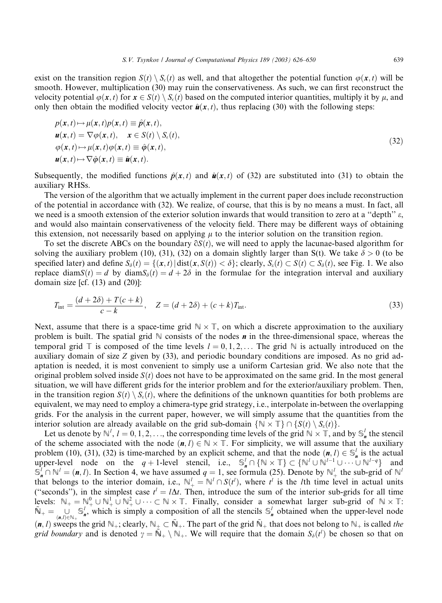exist on the transition region  $S(t) \setminus S_{\epsilon}(t)$  as well, and that altogether the potential function  $\varphi(x, t)$  will be smooth. However, multiplication (30) may ruin the conservativeness. As such, we can first reconstruct the velocity potential  $\varphi(x, t)$  for  $x \in S(t) \setminus S_{\epsilon}(t)$  based on the computed interior quantities, multiply it by  $\mu$ , and only then obtain the modified velocity vector  $\hat{u}(x, t)$ , thus replacing (30) with the following steps:

$$
p(x,t) \mapsto \mu(x,t)p(x,t) \equiv \hat{p}(x,t),
$$
  
\n
$$
\mathbf{u}(x,t) = \nabla \varphi(x,t), \quad x \in S(t) \setminus S_{\epsilon}(t),
$$
  
\n
$$
\varphi(x,t) \mapsto \mu(x,t)\varphi(x,t) \equiv \hat{\varphi}(x,t),
$$
  
\n
$$
\mathbf{u}(x,t) \mapsto \nabla \hat{\varphi}(x,t) \equiv \hat{\mathbf{u}}(x,t).
$$
\n(32)

Subsequently, the modified functions  $\hat{p}(x, t)$  and  $\hat{u}(x, t)$  of (32) are substituted into (31) to obtain the auxiliary RHSs.

The version of the algorithm that we actually implement in the current paper does include reconstruction of the potential in accordance with (32). We realize, of course, that this is by no means a must. In fact, all we need is a smooth extension of the exterior solution inwards that would transition to zero at a "depth"  $\varepsilon$ , and would also maintain conservativeness of the velocity field. There may be different ways of obtaining this extension, not necessarily based on applying  $\mu$  to the interior solution on the transition region.

To set the discrete ABCs on the boundary  $\partial S(t)$ , we will need to apply the lacunae-based algorithm for solving the auxiliary problem (10), (31), (32) on a domain slightly larger than S(t). We take  $\delta > 0$  (to be specified later) and define  $S_\delta(t) = \{(x, t) | \text{dist}(x, S(t)) < \delta\}$ ; clearly,  $S_\epsilon(t) \subset S(t) \subset S_\delta(t)$ , see Fig. 1. We also replace diam $S(t) = d$  by diam $S_\delta(t) = d + 2\delta$  in the formulae for the integration interval and auxiliary domain size [cf.  $(13)$  and  $(20)$ ]:

$$
T_{\text{int}} = \frac{(d+2\delta) + T(c+k)}{c-k}, \quad Z = (d+2\delta) + (c+k)T_{\text{int}}.
$$
 (33)

Next, assume that there is a space-time grid  $\mathbb{N} \times \mathbb{T}$ , on which a discrete approximation to the auxiliary problem is built. The spatial grid  $\mathbb N$  consists of the nodes n in the three-dimensional space, whereas the temporal grid  $\mathbb T$  is composed of the time levels  $l = 0, 1, 2, \ldots$  The grid  $\mathbb N$  is actually introduced on the auxiliary domain of size Z given by (33), and periodic boundary conditions are imposed. As no grid adaptation is needed, it is most convenient to simply use a uniform Cartesian grid. We also note that the original problem solved inside  $S(t)$  does not have to be approximated on the same grid. In the most general situation, we will have different grids for the interior problem and for the exterior/auxiliary problem. Then, in the transition region  $S(t) \setminus S_0(t)$ , where the definitions of the unknown quantities for both problems are equivalent, we may need to employ a chimera-type grid strategy, i.e., interpolate in-between the overlapping grids. For the analysis in the current paper, however, we will simply assume that the quantities from the interior solution are already available on the grid sub-domain  $\{\mathbb{N} \times \mathbb{T}\}\cap \{S(t) \setminus S_{\varepsilon}(t)\}\.$ 

Let us denote by  $\mathbb{N}^l$ ,  $l = 0, 1, 2, \ldots$ , the corresponding time levels of the grid  $\mathbb{N} \times \mathbb{T}$ , and by  $\mathbb{S}_n^l$  the stencil of the scheme associated with the node  $(n, l) \in \mathbb{N} \times \mathbb{T}$ . For simplicity, we will assume that the auxiliary problem (10), (31), (32) is time-marched by an explicit scheme, and that the node  $(n, l) \in \mathbb{S}_n^l$  is the actual upper-level node on the  $q + 1$ -level stencil, i.e.,  $\mathbb{S}_n^l \cap \{ \mathbb{N} \times \mathbb{T} \} \subset \{ \mathbb{N}^l \cup \mathbb{N}^{l-1} \cup \cdots \cup \mathbb{N}^{l-q} \}$  and  $\mathbb{S}_n^l \cap \mathbb{N}^l = (n, l)$ . In Section 4, we have assumed  $q = 1$ , see formula (25). Denote by  $\mathbb{N}^l_+$  the sub-grid of  $\mathbb{N}^l$ that belongs to the interior domain, i.e.,  $\mathbb{N}_+^l = \mathbb{N}^l \cap S(t^l)$ , where  $t^l$  is the *l*th time level in actual units ("seconds"), in the simplest case  $t^l = l\Delta t$ . Then, introduce the sum of the interior sub-grids for all time levels:  $\mathbb{N}_+ = \mathbb{N}_+^0 \cup \mathbb{N}_+^1 \cup \mathbb{N}_+^2 \cup \cdots \subset \mathbb{N} \times \mathbb{T}$ . Finally, consider a somewhat larger sub-grid of  $\mathbb{N} \times \mathbb{T}$ :  $\tilde{N}_{+} = \bigcup_{(n,l) \in \mathbb{N}_{+}} \mathbb{S}_{n}^{l}$ , which is simply a composition of all the stencils  $\mathbb{S}_{n}^{l}$  obtained when the upper-level node  $(n, l)$  sweeps the grid  $\mathbb{N}_+$ ; clearly,  $\mathbb{N}_+ \subset \tilde{\mathbb{N}}_+$ . The part of the grid  $\tilde{\mathbb{N}}_+$  that does not belong to  $\mathbb{N}_+$  is called the grid boundary and is denoted  $\gamma = \tilde{N}_+ \setminus N_+$ . We will require that the domain  $S_\delta(t^l)$  be chosen so that on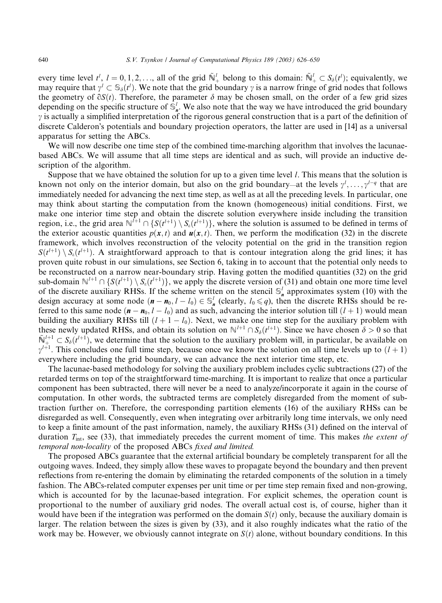every time level  $t^l$ ,  $l = 0, 1, 2, \ldots$ , all of the grid  $\tilde{\mathbb{N}}^l_+$  belong to this domain:  $\tilde{\mathbb{N}}^l_+ \subset S_\delta(t^l)$ ; equivalently, we may require that  $\gamma^l\subset\mathbb S_\delta(t^l).$  We note that the grid boundary  $\gamma$  is a narrow fringe of grid nodes that follows the geometry of  $\partial S(t)$ . Therefore, the parameter  $\delta$  may be chosen small, on the order of a few grid sizes depending on the specific structure of  $\bar{S}_n^l$ . We also note that the way we have introduced the grid boundary  $\gamma$  is actually a simplified interpretation of the rigorous general construction that is a part of the definition of discrete Calderon's potentials and boundary projection operators, the latter are used in [14] as a universal apparatus for setting the ABCs.

We will now describe one time step of the combined time-marching algorithm that involves the lacunaebased ABCs. We will assume that all time steps are identical and as such, will provide an inductive description of the algorithm.

Suppose that we have obtained the solution for up to a given time level  $l$ . This means that the solution is known not only on the interior domain, but also on the grid boundary—at the levels  $\gamma^l, \ldots, \gamma^{l-q}$  that are immediately needed for advancing the next time step, as well as at all the preceding levels. In particular, one may think about starting the computation from the known (homogeneous) initial conditions. First, we make one interior time step and obtain the discrete solution everywhere inside including the transition region, i.e., the grid area  $\mathbb{N}^{l+1} \cap \{S(t^{l+1}) \setminus S_{\varepsilon}(t^{l+1})\}$ , where the solution is assumed to be defined in terms of the exterior acoustic quantities  $p(x, t)$  and  $u(x, t)$ . Then, we perform the modification (32) in the discrete framework, which involves reconstruction of the velocity potential on the grid in the transition region  $S(t^{l+1}) \setminus S_{\varepsilon}(t^{l+1})$ . A straightforward approach to that is contour integration along the grid lines; it has proven quite robust in our simulations, see Section 6, taking in to account that the potential only needs to be reconstructed on a narrow near-boundary strip. Having gotten the modified quantities (32) on the grid sub-domain  $\mathbb{N}^{l+1} \cap \{S(t^{l+1}) \setminus S_{\varepsilon}(t^{l+1})\}$ , we apply the discrete version of (31) and obtain one more time level of the discrete auxiliary RHSs. If the scheme written on the stencil  $\mathbb{S}_n^l$  approximates system (10) with the design accuracy at some node  $(n - n_0, l - l_0) \in \mathbb{S}_n^l$  (clearly,  $l_0 \leq q$ ), then the discrete RHSs should be referred to this same node  $(n - n_0, l - l_0)$  and as such, advancing the interior solution till  $(l + 1)$  would mean building the auxiliary RHSs till  $(l + 1 - l_0)$ . Next, we make one time step for the auxiliary problem with these newly updated RHSs, and obtain its solution on  $\mathbb{N}^{l+1} \cap S_\delta(t^{l+1})$ . Since we have chosen  $\delta > 0$  so that  $\tilde{N}_{+}^{l+1} \subset S_{\delta}(t^{l+1})$ , we determine that the solution to the auxiliary problem will, in particular, be available on  $\gamma^{l+1}$ . This concludes one full time step, because once we know the solution on all time levels up to  $(l+1)$ everywhere including the grid boundary, we can advance the next interior time step, etc.

The lacunae-based methodology for solving the auxiliary problem includes cyclic subtractions (27) of the retarded terms on top of the straightforward time-marching. It is important to realize that once a particular component has been subtracted, there will never be a need to analyze/incorporate it again in the course of computation. In other words, the subtracted terms are completely disregarded from the moment of subtraction further on. Therefore, the corresponding partition elements (16) of the auxiliary RHSs can be disregarded as well. Consequently, even when integrating over arbitrarily long time intervals, we only need to keep a finite amount of the past information, namely, the auxiliary RHSs (31) defined on the interval of duration  $T_{\text{int}}$ , see (33), that immediately precedes the current moment of time. This makes the extent of temporal non-locality of the proposed ABCs fixed and limited.

The proposed ABCs guarantee that the external artificial boundary be completely transparent for all the outgoing waves. Indeed, they simply allow these waves to propagate beyond the boundary and then prevent reflections from re-entering the domain by eliminating the retarded components of the solution in a timely fashion. The ABCs-related computer expenses per unit time or per time step remain fixed and non-growing, which is accounted for by the lacunae-based integration. For explicit schemes, the operation count is proportional to the number of auxiliary grid nodes. The overall actual cost is, of course, higher than it would have been if the integration was performed on the domain  $S(t)$  only, because the auxiliary domain is larger. The relation between the sizes is given by (33), and it also roughly indicates what the ratio of the work may be. However, we obviously cannot integrate on  $S(t)$  alone, without boundary conditions. In this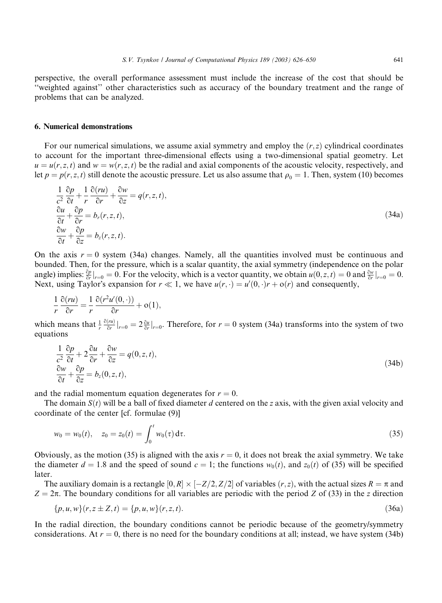perspective, the overall performance assessment must include the increase of the cost that should be ''weighted against'' other characteristics such as accuracy of the boundary treatment and the range of problems that can be analyzed.

### 6. Numerical demonstrations

For our numerical simulations, we assume axial symmetry and employ the  $(r, z)$  cylindrical coordinates to account for the important three-dimensional effects using a two-dimensional spatial geometry. Let  $u = u(r, z, t)$  and  $w = w(r, z, t)$  be the radial and axial components of the acoustic velocity, respectively, and let  $p = p(r, z, t)$  still denote the acoustic pressure. Let us also assume that  $\rho_0 = 1$ . Then, system (10) becomes

$$
\frac{1}{c^2} \frac{\partial p}{\partial t} + \frac{1}{r} \frac{\partial (ru)}{\partial r} + \frac{\partial w}{\partial z} = q(r, z, t),
$$
  
\n
$$
\frac{\partial u}{\partial t} + \frac{\partial p}{\partial r} = b_r(r, z, t),
$$
  
\n
$$
\frac{\partial w}{\partial t} + \frac{\partial p}{\partial z} = b_z(r, z, t).
$$
\n(34a)

On the axis  $r = 0$  system (34a) changes. Namely, all the quantities involved must be continuous and bounded. Then, for the pressure, which is a scalar quantity, the axial symmetry (independence on the polar angle) implies:  $\frac{\partial p}{\partial r}|_{r=0} = 0$ . For the velocity, which is a vector quantity, we obtain  $u(0, z, t) = 0$  and  $\frac{\partial w}{\partial r}|_{r=0} = 0$ . Next, using Taylor's expansion for  $r \ll 1$ , we have  $u(r, \cdot) = u'(0, \cdot)r + o(r)$  and consequently,

$$
\frac{1}{r}\frac{\partial (ru)}{\partial r} = \frac{1}{r}\frac{\partial (r^2u'(0,\cdot))}{\partial r} + o(1),
$$

which means that  $\frac{1}{r} \frac{\partial (ru)}{\partial r}|_{r=0} = 2 \frac{\partial u}{\partial r}|_{r=0}$ . Therefore, for  $r=0$  system (34a) transforms into the system of two equations

$$
\frac{1}{c^2} \frac{\partial p}{\partial t} + 2 \frac{\partial u}{\partial r} + \frac{\partial w}{\partial z} = q(0, z, t),
$$
  
\n
$$
\frac{\partial w}{\partial t} + \frac{\partial p}{\partial z} = b_z(0, z, t),
$$
\n(34b)

and the radial momentum equation degenerates for  $r = 0$ .

The domain  $S(t)$  will be a ball of fixed diameter d centered on the z axis, with the given axial velocity and coordinate of the center [cf. formulae (9)]

$$
w_0 = w_0(t), \quad z_0 = z_0(t) = \int_0^t w_0(\tau) d\tau.
$$
\n(35)

Obviously, as the motion (35) is aligned with the axis  $r = 0$ , it does not break the axial symmetry. We take the diameter  $d = 1.8$  and the speed of sound  $c = 1$ ; the functions  $w_0(t)$ , and  $z_0(t)$  of (35) will be specified later.

The auxiliary domain is a rectangle  $[0, R] \times [-Z/2, Z/2]$  of variables  $(r, z)$ , with the actual sizes  $R = \pi$  and  $Z = 2\pi$ . The boundary conditions for all variables are periodic with the period Z of (33) in the z direction

$$
\{p, u, w\}(r, z \pm Z, t) = \{p, u, w\}(r, z, t). \tag{36a}
$$

In the radial direction, the boundary conditions cannot be periodic because of the geometry/symmetry considerations. At  $r = 0$ , there is no need for the boundary conditions at all; instead, we have system (34b)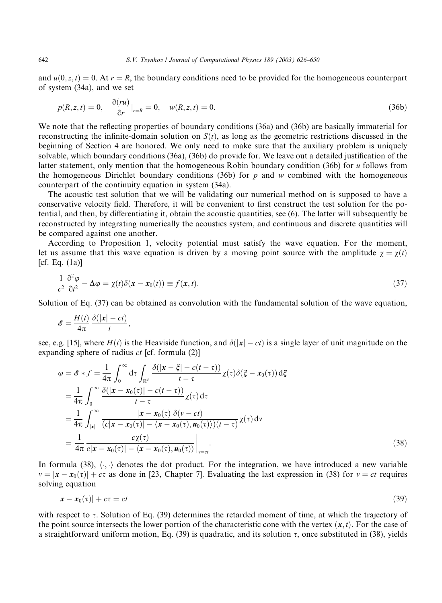and  $u(0, z, t) = 0$ . At  $r = R$ , the boundary conditions need to be provided for the homogeneous counterpart of system (34a), and we set

$$
p(R, z, t) = 0, \quad \frac{\partial(ru)}{\partial r}|_{r=R} = 0, \quad w(R, z, t) = 0.
$$
 (36b)

We note that the reflecting properties of boundary conditions (36a) and (36b) are basically immaterial for reconstructing the infinite-domain solution on  $S(t)$ , as long as the geometric restrictions discussed in the beginning of Section 4 are honored. We only need to make sure that the auxiliary problem is uniquely solvable, which boundary conditions (36a), (36b) do provide for. We leave out a detailed justification of the latter statement, only mention that the homogeneous Robin boundary condition (36b) for u follows from the homogeneous Dirichlet boundary conditions (36b) for p and w combined with the homogeneous counterpart of the continuity equation in system (34a).

The acoustic test solution that we will be validating our numerical method on is supposed to have a conservative velocity field. Therefore, it will be convenient to first construct the test solution for the potential, and then, by differentiating it, obtain the acoustic quantities, see (6). The latter will subsequently be reconstructed by integrating numerically the acoustics system, and continuous and discrete quantities will be compared against one another.

According to Proposition 1, velocity potential must satisfy the wave equation. For the moment, let us assume that this wave equation is driven by a moving point source with the amplitude  $\chi = \chi(t)$  $[cf. Eq. (1a)]$ 

$$
\frac{1}{c^2} \frac{\partial^2 \varphi}{\partial t^2} - \Delta \varphi = \chi(t) \delta(\mathbf{x} - \mathbf{x}_0(t)) \equiv f(\mathbf{x}, t). \tag{37}
$$

Solution of Eq. (37) can be obtained as convolution with the fundamental solution of the wave equation,

$$
\mathscr{E} = \frac{H(t)}{4\pi} \frac{\delta(|\mathbf{x}| - ct)}{t},
$$

see, e.g. [15], where  $H(t)$  is the Heaviside function, and  $\delta(|x| - ct)$  is a single layer of unit magnitude on the expanding sphere of radius  $ct$  [cf. formula  $(2)$ ]

$$
\varphi = \mathscr{E} * f = \frac{1}{4\pi} \int_0^\infty d\tau \int_{\mathbb{R}^3} \frac{\delta(|\mathbf{x} - \xi| - c(t - \tau))}{t - \tau} \chi(\tau) \delta(\xi - \mathbf{x}_0(\tau)) d\xi
$$
  
\n
$$
= \frac{1}{4\pi} \int_0^\infty \frac{\delta(|\mathbf{x} - \mathbf{x}_0(\tau)| - c(t - \tau))}{t - \tau} \chi(\tau) d\tau
$$
  
\n
$$
= \frac{1}{4\pi} \int_{|\mathbf{x}|}^\infty \frac{|\mathbf{x} - \mathbf{x}_0(\tau)| \delta(\nu - ct)}{(c|\mathbf{x} - \mathbf{x}_0(\tau)| - \langle \mathbf{x} - \mathbf{x}_0(\tau), \mathbf{u}_0(\tau) \rangle)(t - \tau)} \chi(\tau) d\nu
$$
  
\n
$$
= \frac{1}{4\pi} \frac{c\chi(\tau)}{c|\mathbf{x} - \mathbf{x}_0(\tau)| - \langle \mathbf{x} - \mathbf{x}_0(\tau), \mathbf{u}_0(\tau) \rangle} \Big|_{\nu = ct}.
$$
\n(38)

In formula (38),  $\langle \cdot, \cdot \rangle$  denotes the dot product. For the integration, we have introduced a new variable  $v = |x - x_0(\tau)| + c\tau$  as done in [23, Chapter 7]. Evaluating the last expression in (38) for  $v = ct$  requires solving equation

$$
|\mathbf{x} - \mathbf{x}_0(\tau)| + c\tau = ct \tag{39}
$$

with respect to  $\tau$ . Solution of Eq. (39) determines the retarded moment of time, at which the trajectory of the point source intersects the lower portion of the characteristic cone with the vertex  $(x, t)$ . For the case of a straightforward uniform motion, Eq. (39) is quadratic, and its solution  $\tau$ , once substituted in (38), yields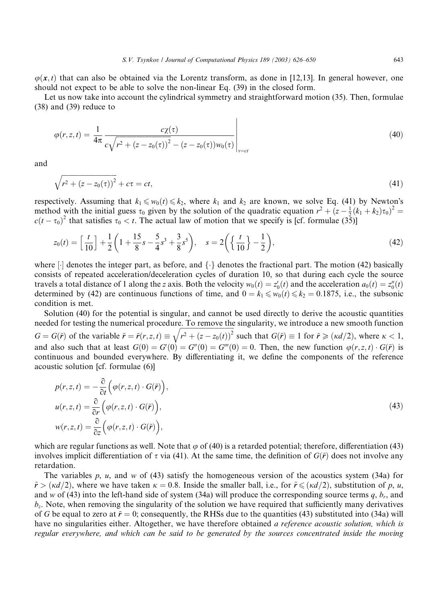$\varphi(x, t)$  that can also be obtained via the Lorentz transform, as done in [12,13]. In general however, one should not expect to be able to solve the non-linear Eq. (39) in the closed form.

Let us now take into account the cylindrical symmetry and straightforward motion (35). Then, formulae (38) and (39) reduce to

$$
\varphi(r,z,t) = \frac{1}{4\pi} \frac{c\chi(\tau)}{c\sqrt{r^2 + (z - z_0(\tau))^2} - (z - z_0(\tau))w_0(\tau)}\Bigg|_{v = ct}
$$
\n(40)

and

$$
\sqrt{r^2 + (z - z_0(\tau))^2} + c\tau = ct,\tag{41}
$$

respectively. Assuming that  $k_1 \leq w_0(t) \leq k_2$ , where  $k_1$  and  $k_2$  are known, we solve Eq. (41) by Newton's method with the initial guess  $\tau_0$  given by the solution of the quadratic equation  $r^2 + (z - \frac{1}{2}(k_1 + k_2)\tau_0)^2$  $c(t - \tau_0)^2$  that satisfies  $\tau_0 < t$ . The actual law of motion that we specify is [cf. formulae (35)]

$$
z_0(t) = \left[\frac{t}{10}\right] + \frac{1}{2}\left(1 + \frac{15}{8}s - \frac{5}{4}s^3 + \frac{3}{8}s^5\right), \quad s = 2\left(\left\{\frac{t}{10}\right\} - \frac{1}{2}\right),\tag{42}
$$

where  $\lvert \cdot \rvert$  denotes the integer part, as before, and  $\lvert \cdot \rvert$  denotes the fractional part. The motion (42) basically consists of repeated acceleration/deceleration cycles of duration 10, so that during each cycle the source travels a total distance of 1 along the z axis. Both the velocity  $w_0(t) = z'_0(t)$  and the acceleration  $a_0(t) = z''_0(t)$ determined by (42) are continuous functions of time, and  $0 = k_1 \leq w_0(t) \leq k_2 = 0.1875$ , i.e., the subsonic condition is met.

Solution (40) for the potential is singular, and cannot be used directly to derive the acoustic quantities needed for testing the numerical procedure. To remove the singularity, we introduce a new smooth function  $G = G(\tilde{r})$  of the variable  $\tilde{r} = \tilde{r}(r, z, t) \equiv$  $\frac{1}{10}$  full over the  $r^2 + (z - z_0(t))^2$  $\ddot{\ }$ such that  $G(\tilde{r}) \equiv 1$  for  $\tilde{r} \geq (\kappa d/2)$ , where  $\kappa < 1$ , and also such that at least  $G(0) = G'(0) = G''(0) = G'''(0) = 0$ . Then, the new function  $\varphi(r, z, t) \cdot G(\tilde{r})$  is continuous and bounded everywhere. By differentiating it, we define the components of the reference acoustic solution [cf. formulae (6)]

$$
p(r, z, t) = -\frac{\partial}{\partial t} \left( \varphi(r, z, t) \cdot G(\tilde{r}) \right),
$$
  
\n
$$
u(r, z, t) = \frac{\partial}{\partial r} \left( \varphi(r, z, t) \cdot G(\tilde{r}) \right),
$$
  
\n
$$
w(r, z, t) = \frac{\partial}{\partial z} \left( \varphi(r, z, t) \cdot G(\tilde{r}) \right),
$$
\n(43)

which are regular functions as well. Note that  $\varphi$  of (40) is a retarded potential; therefore, differentiation (43) involves implicit differentiation of  $\tau$  via (41). At the same time, the definition of  $G(\tilde{r})$  does not involve any retardation.

The variables p, u, and w of (43) satisfy the homogeneous version of the acoustics system (34a) for  $\tilde{r} > (\kappa d/2)$ , where we have taken  $\kappa = 0.8$ . Inside the smaller ball, i.e., for  $\tilde{r} \leq (\kappa d/2)$ , substitution of p, u, and w of (43) into the left-hand side of system (34a) will produce the corresponding source terms  $q$ ,  $b_r$ , and  $b_z$ . Note, when removing the singularity of the solution we have required that sufficiently many derivatives of G be equal to zero at  $\tilde{r} = 0$ ; consequently, the RHSs due to the quantities (43) substituted into (34a) will have no singularities either. Altogether, we have therefore obtained a reference acoustic solution, which is regular everywhere, and which can be said to be generated by the sources concentrated inside the moving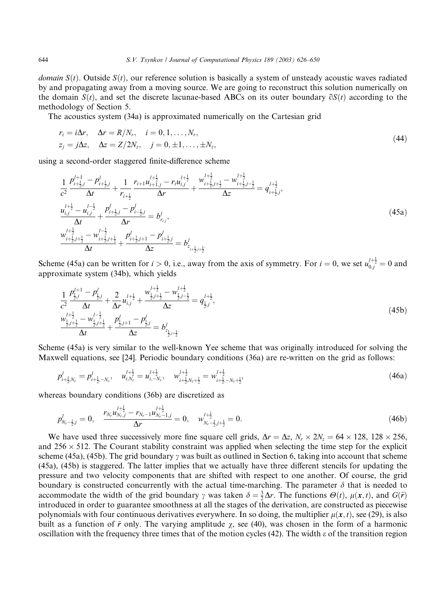*domain*  $S(t)$ . Outside  $S(t)$ , our reference solution is basically a system of unsteady acoustic waves radiated by and propagating away from a moving source. We are going to reconstruct this solution numerically on the domain  $S(t)$ , and set the discrete lacunae-based ABCs on its outer boundary  $\partial S(t)$  according to the methodology of Section 5.

The acoustics system (34a) is approximated numerically on the Cartesian grid

$$
r_i = i\Delta r, \quad \Delta r = R/N_r, \quad i = 0, 1, \dots, N_r,
$$
  
\n
$$
z_j = j\Delta z, \quad \Delta z = Z/2N_z, \quad j = 0, \pm 1, \dots, \pm N_z,
$$
\n(44)

using a second-order staggered finite-difference scheme

$$
\frac{1}{c^2} \frac{p_{i+\frac{1}{2},j}^{l+1} - p_{i+\frac{1}{2},j}^{l}}{\Delta t} + \frac{1}{r_{i+\frac{1}{2}}} \frac{r_{i+1} u_{i+\frac{1}{2},j}^{l+\frac{1}{2}} - r_i u_{i,j}^{l+\frac{1}{2}}}{\Delta r} + \frac{w_{i+\frac{1}{2},j+\frac{1}{2}}^{l+\frac{1}{2}} - w_{i+\frac{1}{2},j-\frac{1}{2}}^{l+\frac{1}{2}}}{\Delta z} = q_{i+\frac{1}{2},j}^{l+\frac{1}{2}},
$$
\n
$$
\frac{u_{i,j}^{l+\frac{1}{2}} - u_{i,j}^{l-\frac{1}{2}}}{\Delta t} + \frac{p_{i+\frac{1}{2},j}^{l} - p_{i-\frac{1}{2},j}^{l}}{\Delta r} = b_{r_{i,j}}^{l},
$$
\n
$$
\frac{w_{i+\frac{1}{2},j+\frac{1}{2}}^{l} - w_{i+\frac{1}{2},j+\frac{1}{2}}^{l-\frac{1}{2}}}{\Delta t} + \frac{p_{i+\frac{1}{2},j+1}^{l} - p_{i+\frac{1}{2},j}^{l}}{\Delta z} = b_{z_{i+\frac{1}{2},j+\frac{1}{2}}}^{l}.
$$
\n(45a)

Scheme (45a) can be written for  $i > 0$ , i.e., away from the axis of symmetry. For  $i = 0$ , we set  $u_{0,j}^{l + \frac{1}{2}} = 0$  and approximate system (34b), which yields

$$
\frac{1}{c^2} \frac{p_{\frac{1}{2},j}^{l+1} - p_{\frac{1}{2},j}^l}{\Delta t} + \frac{2}{\Delta r} u_{i,j}^{l+\frac{1}{2}} + \frac{w_{\frac{1}{2},j+\frac{1}{2}}^{l+\frac{1}{2}} - w_{\frac{1}{2},j-\frac{1}{2}}^{l+\frac{1}{2}}}{\Delta z} = q_{\frac{1}{2},j}^{l+\frac{1}{2}},
$$
\n
$$
\frac{w_{\frac{1}{2},j+\frac{1}{2}}^{l+\frac{1}{2}} - w_{\frac{1}{2},j+\frac{1}{2}}^{l+\frac{1}{2}}}{\Delta t} + \frac{p_{\frac{1}{2},j+1}^l - p_{\frac{1}{2},j}^l}{\Delta z} = b_{\frac{z_{1,j+\frac{1}{2}}}{2},j+\frac{1}{2}}^{l}.
$$
\n(45b)

Scheme (45a) is very similar to the well-known Yee scheme that was originally introduced for solving the Maxwell equations, see [24]. Periodic boundary conditions (36a) are re-written on the grid as follows:

$$
p_{i+\frac{1}{2},N_z}^l = p_{i+\frac{1}{2},-N_z}^l, \quad u_{i,N_z}^{l+\frac{1}{2}} = u_{i,-N_z}^{l+\frac{1}{2}}, \quad w_{i+\frac{1}{2},N_z+\frac{1}{2}}^{l+\frac{1}{2}} = w_{i+\frac{1}{2},-N_z+\frac{1}{2}}^{l+\frac{1}{2}}.
$$
(46a)

whereas boundary conditions (36b) are discretized as

$$
p_{N_r-\frac{1}{2},j}^l = 0, \quad \frac{r_{N_r} u_{N_r,j}^{l+\frac{1}{2}} - r_{N_r-1} u_{N_r-1,j}^{l+\frac{1}{2}}}{\Delta r} = 0, \quad w_{N_r-\frac{1}{2},j+\frac{1}{2}}^{l+\frac{1}{2}} = 0. \tag{46b}
$$

We have used three successively more fine square cell grids,  $\Delta r = \Delta z$ ,  $N_r \times 2N_z = 64 \times 128$ ,  $128 \times 256$ , and  $256 \times 512$ . The Courant stability constraint was applied when selecting the time step for the explicit scheme (45a), (45b). The grid boundary  $\gamma$  was built as outlined in Section 6, taking into account that scheme (45a), (45b) is staggered. The latter implies that we actually have three different stencils for updating the pressure and two velocity components that are shifted with respect to one another. Of course, the grid boundary is constructed concurrently with the actual time-marching. The parameter  $\delta$  that is needed to accommodate the width of the grid boundary  $\gamma$  was taken  $\delta = \frac{3}{2}\Delta r$ . The functions  $\Theta(t)$ ,  $\mu(x, t)$ , and  $G(\tilde{r})$ introduced in order to guarantee smoothness at all the stages of the derivation, are constructed as piecewise polynomials with four continuous derivatives everywhere. In so doing, the multiplier  $\mu(x, t)$ , see (29), is also built as a function of  $\tilde{r}$  only. The varying amplitude  $\chi$ , see (40), was chosen in the form of a harmonic oscillation with the frequency three times that of the motion cycles (42). The width  $\varepsilon$  of the transition region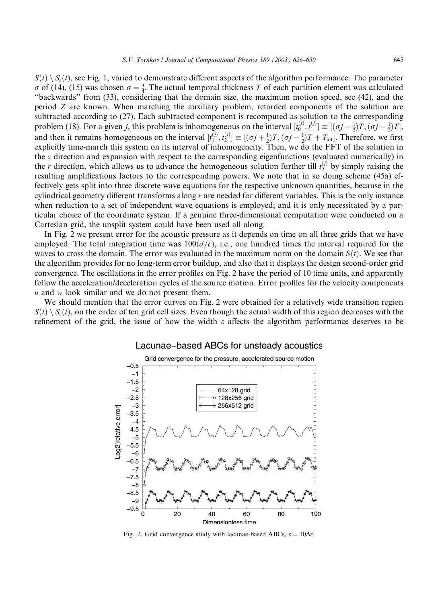$S(t) \ S<sub>s</sub>(t)$ , see Fig. 1, varied to demonstrate different aspects of the algorithm performance. The parameter  $\sigma$  of (14), (15) was chosen  $\sigma = \frac{3}{4}$ . The actual temporal thickness T of each partition element was calculated ''backwards'' from (33), considering that the domain size, the maximum motion speed, see (42), and the period Z are known. When marching the auxiliary problem, retarded components of the solution are subtracted according to (27). Each subtracted component is recomputed as solution to the corresponding problem (18). For a given j, this problem is inhomogeneous on the interval  $[t_0^{(j)}, t_1^{(j)}] \equiv [(\sigma j - \frac{1}{2})T, (\sigma j + \frac{1}{2})T]$ , and then it remains homogeneous on the interval  $[t_1^{(j)}, t_2^{(j)}] \equiv [(\sigma j + \frac{1}{2})T, (\sigma j - \frac{1}{2})T + T_{int}]$ . Therefore, we first explicitly time-march this system on its interval of inhomogeneity. Then, we do the FFT of the solution in the z direction and expansion with respect to the corresponding eigenfunctions (evaluated numerically) in the r direction, which allows us to advance the homogeneous solution further till  $t_2^{(j)}$  by simply raising the resulting amplifications factors to the corresponding powers. We note that in so doing scheme (45a) effectively gets split into three discrete wave equations for the respective unknown quantities, because in the cylindrical geometry different transforms along  $r$  are needed for different variables. This is the only instance when reduction to a set of independent wave equations is employed; and it is only necessitated by a particular choice of the coordinate system. If a genuine three-dimensional computation were conducted on a Cartesian grid, the unsplit system could have been used all along.

In Fig. 2 we present error for the acoustic pressure as it depends on time on all three grids that we have employed. The total integration time was  $100(d/c)$ , i.e., one hundred times the interval required for the waves to cross the domain. The error was evaluated in the maximum norm on the domain  $S(t)$ . We see that the algorithm provides for no long-term error buildup, and also that it displays the design second-order grid convergence. The oscillations in the error profiles on Fig. 2 have the period of 10 time units, and apparently follow the acceleration/deceleration cycles of the source motion. Error profiles for the velocity components  $u$  and  $w$  look similar and we do not present them.

We should mention that the error curves on Fig. 2 were obtained for a relatively wide transition region  $S(t) \ S<sub>\varepsilon</sub>(t)$ , on the order of ten grid cell sizes. Even though the actual width of this region decreases with the refinement of the grid, the issue of how the width  $\varepsilon$  affects the algorithm performance deserves to be



# Lacunae-based ABCs for unsteady acoustics

Fig. 2. Grid convergence study with lacunae-based ABCs,  $\varepsilon = 10\Delta r$ .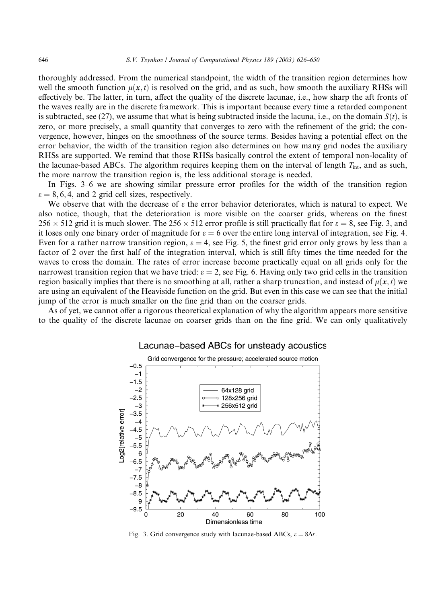thoroughly addressed. From the numerical standpoint, the width of the transition region determines how well the smooth function  $\mu(x, t)$  is resolved on the grid, and as such, how smooth the auxiliary RHSs will effectively be. The latter, in turn, affect the quality of the discrete lacunae, i.e., how sharp the aft fronts of the waves really are in the discrete framework. This is important because every time a retarded component is subtracted, see (27), we assume that what is being subtracted inside the lacuna, i.e., on the domain  $S(t)$ , is zero, or more precisely, a small quantity that converges to zero with the refinement of the grid; the convergence, however, hinges on the smoothness of the source terms. Besides having a potential effect on the error behavior, the width of the transition region also determines on how many grid nodes the auxiliary RHSs are supported. We remind that those RHSs basically control the extent of temporal non-locality of the lacunae-based ABCs. The algorithm requires keeping them on the interval of length  $T_{\text{int}}$ , and as such, the more narrow the transition region is, the less additional storage is needed.

In Figs. 3–6 we are showing similar pressure error profiles for the width of the transition region  $\epsilon = 8, 6, 4$ , and 2 grid cell sizes, respectively.

We observe that with the decrease of  $\varepsilon$  the error behavior deteriorates, which is natural to expect. We also notice, though, that the deterioration is more visible on the coarser grids, whereas on the finest  $256 \times 512$  grid it is much slower. The  $256 \times 512$  error profile is still practically flat for  $\varepsilon = 8$ , see Fig. 3, and it loses only one binary order of magnitude for  $\varepsilon = 6$  over the entire long interval of integration, see Fig. 4. Even for a rather narrow transition region,  $\varepsilon = 4$ , see Fig. 5, the finest grid error only grows by less than a factor of 2 over the first half of the integration interval, which is still fifty times the time needed for the waves to cross the domain. The rates of error increase become practically equal on all grids only for the narrowest transition region that we have tried:  $\epsilon = 2$ , see Fig. 6. Having only two grid cells in the transition region basically implies that there is no smoothing at all, rather a sharp truncation, and instead of  $\mu(x, t)$  we are using an equivalent of the Heaviside function on the grid. But even in this case we can see that the initial jump of the error is much smaller on the fine grid than on the coarser grids.

As of yet, we cannot offer a rigorous theoretical explanation of why the algorithm appears more sensitive to the quality of the discrete lacunae on coarser grids than on the fine grid. We can only qualitatively



# Lacunae-based ABCs for unsteady acoustics

Fig. 3. Grid convergence study with lacunae-based ABCs,  $\varepsilon = 8\Delta r$ .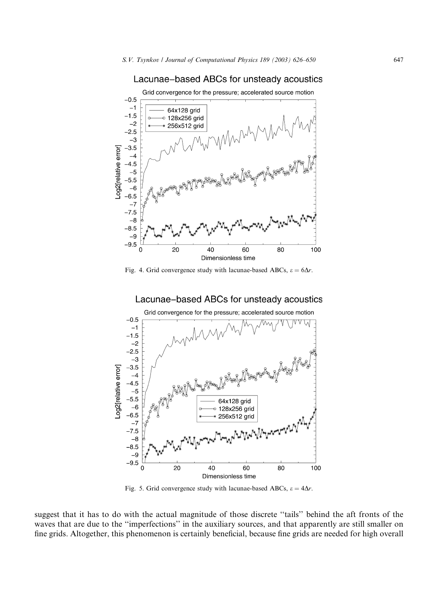



Grid convergence for the pressure; accelerated source motion

Fig. 4. Grid convergence study with lacunae-based ABCs,  $\varepsilon = 6\Delta r$ .

Lacunae-based ABCs for unsteady acoustics



Fig. 5. Grid convergence study with lacunae-based ABCs,  $\varepsilon = 4\Delta r$ .

suggest that it has to do with the actual magnitude of those discrete ''tails'' behind the aft fronts of the waves that are due to the "imperfections" in the auxiliary sources, and that apparently are still smaller on fine grids. Altogether, this phenomenon is certainly beneficial, because fine grids are needed for high overall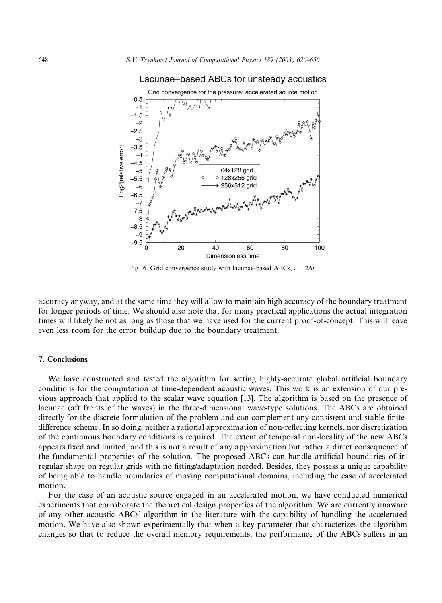

Fig. 6. Grid convergence study with lacunae-based ABCs,  $\varepsilon = 2\Delta r$ .

accuracy anyway, and at the same time they will allow to maintain high accuracy of the boundary treatment for longer periods of time. We should also note that for many practical applications the actual integration times will likely be not as long as those that we have used for the current proof-of-concept. This will leave even less room for the error buildup due to the boundary treatment.

#### 7. Conclusions

We have constructed and tested the algorithm for setting highly-accurate global artificial boundary conditions for the computation of time-dependent acoustic waves. This work is an extension of our previous approach that applied to the scalar wave equation [13]. The algorithm is based on the presence of lacunae (aft fronts of the waves) in the three-dimensional wave-type solutions. The ABCs are obtained directly for the discrete formulation of the problem and can complement any consistent and stable finitedifference scheme. In so doing, neither a rational approximation of non-reflecting kernels, nor discretization of the continuous boundary conditions is required. The extent of temporal non-locality of the new ABCs appears fixed and limited, and this is not a result of any approximation but rather a direct consequence of the fundamental properties of the solution. The proposed ABCs can handle artificial boundaries of irregular shape on regular grids with no fitting/adaptation needed. Besides, they possess a unique capability of being able to handle boundaries of moving computational domains, including the case of accelerated motion.

For the case of an acoustic source engaged in an accelerated motion, we have conducted numerical experiments that corroborate the theoretical design properties of the algorithm. We are currently unaware of any other acoustic ABCs algorithm in the literature with the capability of handling the accelerated motion. We have also shown experimentally that when a key parameter that characterizes the algorithm changes so that to reduce the overall memory requirements, the performance of the ABCs suffers in an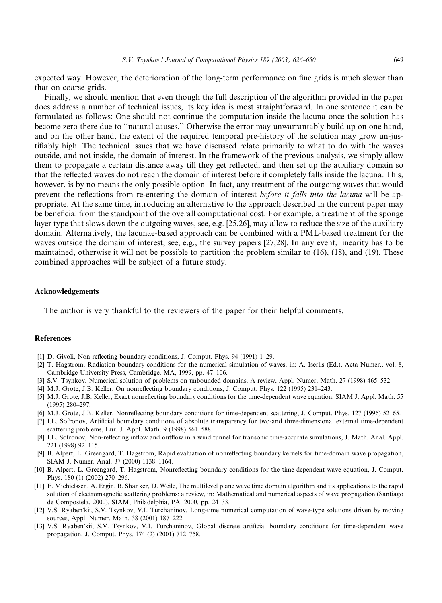expected way. However, the deterioration of the long-term performance on fine grids is much slower than that on coarse grids.

Finally, we should mention that even though the full description of the algorithm provided in the paper does address a number of technical issues, its key idea is most straightforward. In one sentence it can be formulated as follows: One should not continue the computation inside the lacuna once the solution has become zero there due to ''natural causes.'' Otherwise the error may unwarrantably build up on one hand, and on the other hand, the extent of the required temporal pre-history of the solution may grow un-justifiably high. The technical issues that we have discussed relate primarily to what to do with the waves outside, and not inside, the domain of interest. In the framework of the previous analysis, we simply allow them to propagate a certain distance away till they get reflected, and then set up the auxiliary domain so that the reflected waves do not reach the domain of interest before it completely falls inside the lacuna. This, however, is by no means the only possible option. In fact, any treatment of the outgoing waves that would prevent the reflections from re-entering the domain of interest *before it falls into the lacuna* will be appropriate. At the same time, introducing an alternative to the approach described in the current paper may be beneficial from the standpoint of the overall computational cost. For example, a treatment of the sponge layer type that slows down the outgoing waves, see, e.g. [25,26], may allow to reduce the size of the auxiliary domain. Alternatively, the lacunae-based approach can be combined with a PML-based treatment for the waves outside the domain of interest, see, e.g., the survey papers [27,28]. In any event, linearity has to be maintained, otherwise it will not be possible to partition the problem similar to (16), (18), and (19). These combined approaches will be subject of a future study.

#### Acknowledgements

The author is very thankful to the reviewers of the paper for their helpful comments.

### **References**

- [1] D. Givoli, Non-reflecting boundary conditions, J. Comput. Phys. 94 (1991) 1–29.
- [2] T. Hagstrom, Radiation boundary conditions for the numerical simulation of waves, in: A. Iserlis (Ed.), Acta Numer., vol. 8, Cambridge University Press, Cambridge, MA, 1999, pp. 47–106.
- [3] S.V. Tsynkov, Numerical solution of problems on unbounded domains. A review, Appl. Numer. Math. 27 (1998) 465–532.
- [4] M.J. Grote, J.B. Keller, On nonreflecting boundary conditions, J. Comput. Phys. 122 (1995) 231–243.
- [5] M.J. Grote, J.B. Keller, Exact nonreflecting boundary conditions for the time-dependent wave equation, SIAM J. Appl. Math. 55 (1995) 280–297.
- [6] M.J. Grote, J.B. Keller, Nonreflecting boundary conditions for time-dependent scattering, J. Comput. Phys. 127 (1996) 52–65.
- [7] I.L. Sofronov, Artificial boundary conditions of absolute transparency for two-and three-dimensional external time-dependent scattering problems, Eur. J. Appl. Math. 9 (1998) 561–588.
- [8] I.L. Sofronov, Non-reflecting inflow and outflow in a wind tunnel for transonic time-accurate simulations, J. Math. Anal. Appl. 221 (1998) 92–115.
- [9] B. Alpert, L. Greengard, T. Hagstrom, Rapid evaluation of nonreflecting boundary kernels for time-domain wave propagation, SIAM J. Numer. Anal. 37 (2000) 1138–1164.
- [10] B. Alpert, L. Greengard, T. Hagstrom, Nonreflecting boundary conditions for the time-dependent wave equation, J. Comput. Phys. 180 (1) (2002) 270–296.
- [11] E. Michielssen, A. Ergin, B. Shanker, D. Weile, The multilevel plane wave time domain algorithm and its applications to the rapid solution of electromagnetic scattering problems: a review, in: Mathematical and numerical aspects of wave propagation (Santiago de Compostela, 2000), SIAM, Philadelphia, PA, 2000, pp. 24–33.
- [12] V.S. Ryaben'kii, S.V. Tsynkov, V.I. Turchaninov, Long-time numerical computation of wave-type solutions driven by moving sources, Appl. Numer. Math. 38 (2001) 187–222.
- [13] V.S. Ryaben'kii, S.V. Tsynkov, V.I. Turchaninov, Global discrete artificial boundary conditions for time-dependent wave propagation, J. Comput. Phys. 174 (2) (2001) 712–758.